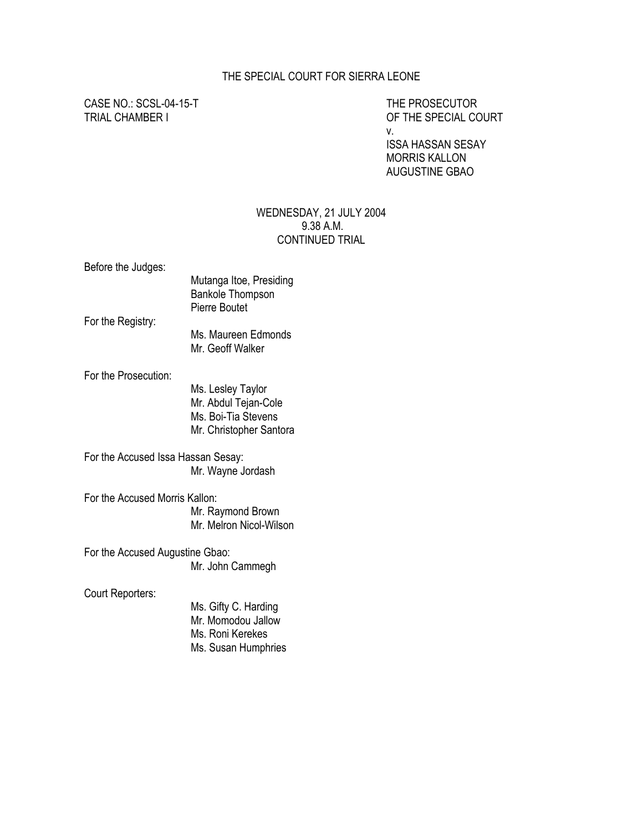## THE SPECIAL COURT FOR SIERRA LEONE

CASE NO.: SCSL-04-15-T THE PROSECUTOR

TRIAL CHAMBER I OF THE SPECIAL COURT v. ISSA HASSAN SESAY MORRIS KALLON AUGUSTINE GBAO

## WEDNESDAY, 21 JULY 2004 9.38 A.M. CONTINUED TRIAL

Before the Judges:

|                   | Mutanga Itoe, Presiding |
|-------------------|-------------------------|
|                   | <b>Bankole Thompson</b> |
|                   | Pierre Boutet           |
| For the Registry: |                         |
|                   |                         |

 Ms. Maureen Edmonds Mr. Geoff Walker

For the Prosecution:

 Ms. Lesley Taylor Mr. Abdul Tejan-Cole Ms. Boi-Tia Stevens Mr. Christopher Santora

For the Accused Issa Hassan Sesay: Mr. Wayne Jordash

For the Accused Morris Kallon: Mr. Raymond Brown Mr. Melron Nicol-Wilson

For the Accused Augustine Gbao: Mr. John Cammegh

Court Reporters:

 Ms. Gifty C. Harding Mr. Momodou Jallow Ms. Roni Kerekes Ms. Susan Humphries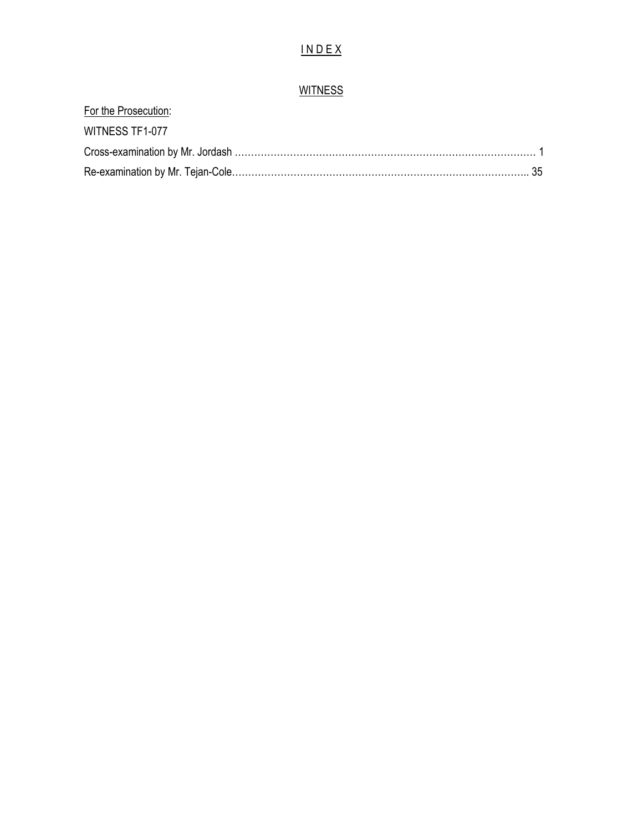## I N D E X

## **WITNESS**

| For the Prosecution: |  |
|----------------------|--|
| WITNESS TF1-077      |  |
|                      |  |
|                      |  |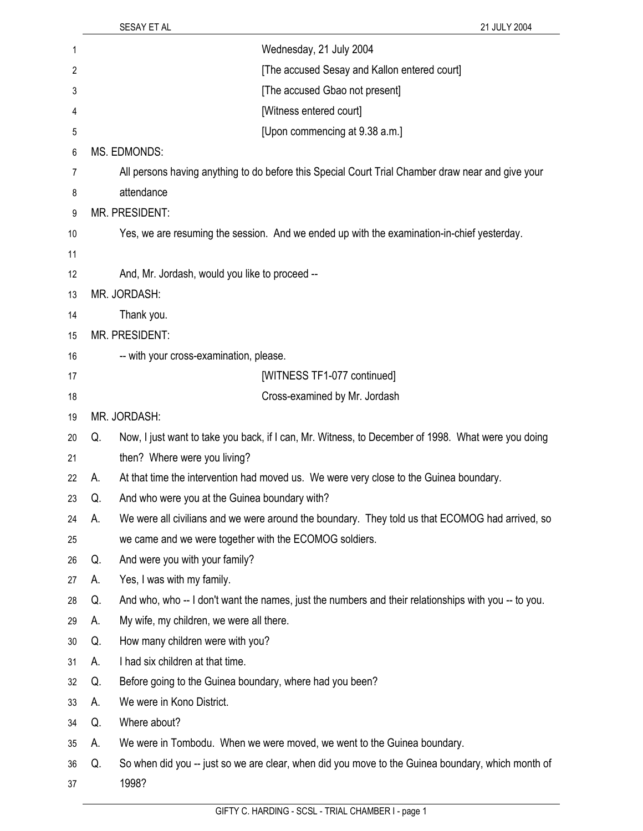|    |    | SESAY ET AL<br>21 JULY 2004                                                                          |
|----|----|------------------------------------------------------------------------------------------------------|
| 1  |    | Wednesday, 21 July 2004                                                                              |
| 2  |    | [The accused Sesay and Kallon entered court]                                                         |
| 3  |    | [The accused Gbao not present]                                                                       |
| 4  |    | [Witness entered court]                                                                              |
| 5  |    | [Upon commencing at 9.38 a.m.]                                                                       |
| 6  |    | MS. EDMONDS:                                                                                         |
| 7  |    | All persons having anything to do before this Special Court Trial Chamber draw near and give your    |
| 8  |    | attendance                                                                                           |
| 9  |    | MR. PRESIDENT:                                                                                       |
| 10 |    | Yes, we are resuming the session. And we ended up with the examination-in-chief yesterday.           |
| 11 |    |                                                                                                      |
| 12 |    | And, Mr. Jordash, would you like to proceed --                                                       |
| 13 |    | MR. JORDASH:                                                                                         |
| 14 |    | Thank you.                                                                                           |
| 15 |    | MR. PRESIDENT:                                                                                       |
| 16 |    | -- with your cross-examination, please.                                                              |
| 17 |    | [WITNESS TF1-077 continued]                                                                          |
| 18 |    | Cross-examined by Mr. Jordash                                                                        |
| 19 |    | MR. JORDASH:                                                                                         |
| 20 | Q. | Now, I just want to take you back, if I can, Mr. Witness, to December of 1998. What were you doing   |
| 21 |    | then? Where were you living?                                                                         |
| 22 | А. | At that time the intervention had moved us. We were very close to the Guinea boundary.               |
| 23 | Q. | And who were you at the Guinea boundary with?                                                        |
| 24 | А. | We were all civilians and we were around the boundary. They told us that ECOMOG had arrived, so      |
| 25 |    | we came and we were together with the ECOMOG soldiers.                                               |
| 26 | Q. | And were you with your family?                                                                       |
| 27 | А. | Yes, I was with my family.                                                                           |
| 28 | Q. | And who, who -- I don't want the names, just the numbers and their relationships with you -- to you. |
| 29 | А. | My wife, my children, we were all there.                                                             |
| 30 | Q. | How many children were with you?                                                                     |
| 31 | А. | I had six children at that time.                                                                     |
| 32 | Q. | Before going to the Guinea boundary, where had you been?                                             |
| 33 | А. | We were in Kono District.                                                                            |
| 34 | Q. | Where about?                                                                                         |
| 35 | А. | We were in Tombodu. When we were moved, we went to the Guinea boundary.                              |
| 36 | Q. | So when did you -- just so we are clear, when did you move to the Guinea boundary, which month of    |
| 37 |    | 1998?                                                                                                |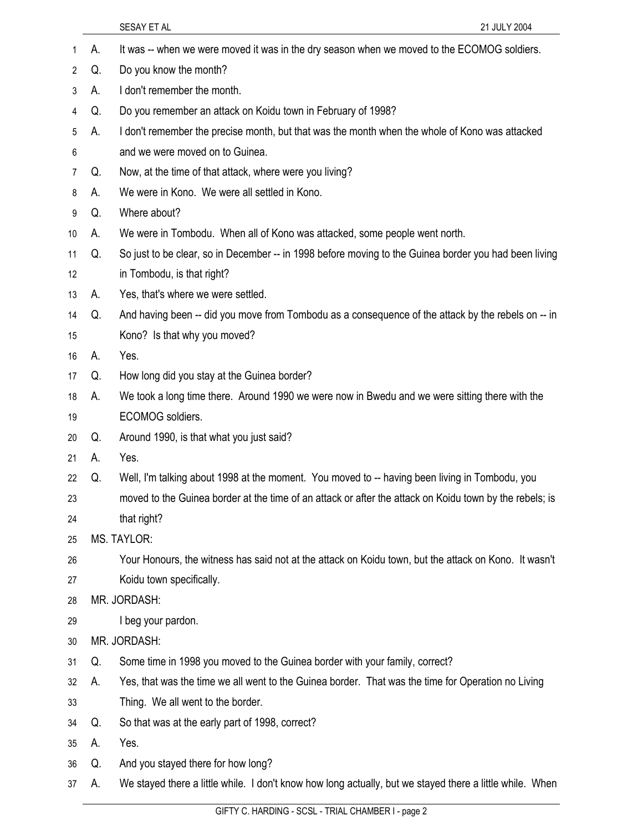|                |    | SESAY ET AL<br>21 JULY 2004                                                                             |  |
|----------------|----|---------------------------------------------------------------------------------------------------------|--|
| 1              | А. | It was -- when we were moved it was in the dry season when we moved to the ECOMOG soldiers.             |  |
| $\overline{2}$ | Q. | Do you know the month?                                                                                  |  |
| 3              | А. | I don't remember the month.                                                                             |  |
| 4              | Q. | Do you remember an attack on Koidu town in February of 1998?                                            |  |
| 5              | А. | I don't remember the precise month, but that was the month when the whole of Kono was attacked          |  |
| 6              |    | and we were moved on to Guinea.                                                                         |  |
| 7              | Q. | Now, at the time of that attack, where were you living?                                                 |  |
| 8              | А. | We were in Kono. We were all settled in Kono.                                                           |  |
| 9              | Q. | Where about?                                                                                            |  |
| 10             | А. | We were in Tombodu. When all of Kono was attacked, some people went north.                              |  |
| 11             | Q. | So just to be clear, so in December -- in 1998 before moving to the Guinea border you had been living   |  |
| 12             |    | in Tombodu, is that right?                                                                              |  |
| 13             | А. | Yes, that's where we were settled.                                                                      |  |
| 14             | Q. | And having been -- did you move from Tombodu as a consequence of the attack by the rebels on -- in      |  |
| 15             |    | Kono? Is that why you moved?                                                                            |  |
| 16             | А. | Yes.                                                                                                    |  |
| 17             | Q. | How long did you stay at the Guinea border?                                                             |  |
| 18             | А. | We took a long time there. Around 1990 we were now in Bwedu and we were sitting there with the          |  |
| 19             |    | ECOMOG soldiers.                                                                                        |  |
| 20             | Q. | Around 1990, is that what you just said?                                                                |  |
| 21             | А. | Yes.                                                                                                    |  |
| 22             | Q. | Well, I'm talking about 1998 at the moment. You moved to -- having been living in Tombodu, you          |  |
| 23             |    | moved to the Guinea border at the time of an attack or after the attack on Koidu town by the rebels; is |  |
| 24             |    | that right?                                                                                             |  |
| 25             |    | <b>MS. TAYLOR:</b>                                                                                      |  |
| 26             |    | Your Honours, the witness has said not at the attack on Koidu town, but the attack on Kono. It wasn't   |  |
| 27             |    | Koidu town specifically.                                                                                |  |
| 28             |    | MR. JORDASH:                                                                                            |  |
| 29             |    | I beg your pardon.                                                                                      |  |
| 30             |    | MR. JORDASH:                                                                                            |  |
| 31             | Q. | Some time in 1998 you moved to the Guinea border with your family, correct?                             |  |
| 32             | А. | Yes, that was the time we all went to the Guinea border. That was the time for Operation no Living      |  |
| 33             |    | Thing. We all went to the border.                                                                       |  |
| 34             | Q. | So that was at the early part of 1998, correct?                                                         |  |

- 35 A. Yes.
- 36 Q. And you stayed there for how long?
- 37 A. We stayed there a little while. I don't know how long actually, but we stayed there a little while. When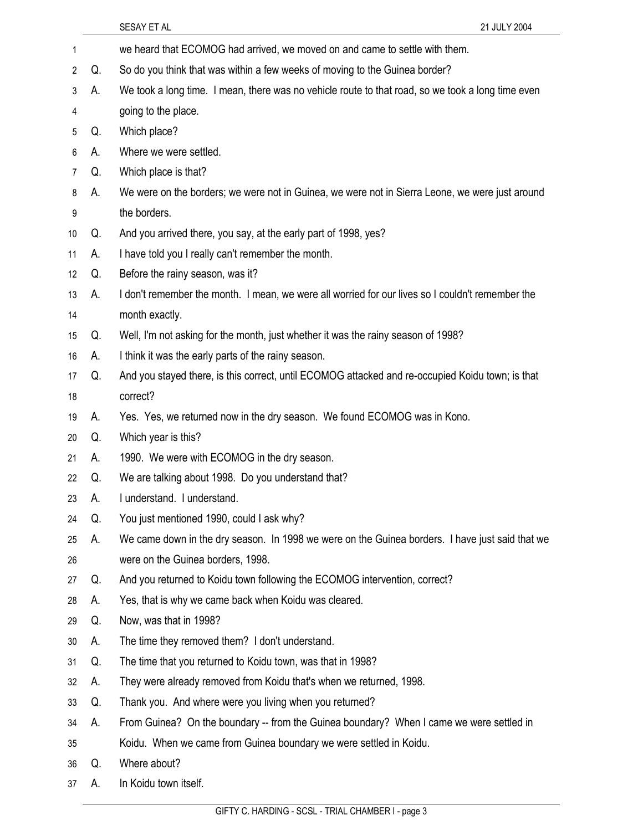1 we heard that ECOMOG had arrived, we moved on and came to settle with them. 2 Q. So do you think that was within a few weeks of moving to the Guinea border? 3 A. We took a long time. I mean, there was no vehicle route to that road, so we took a long time even 4 going to the place. 5 Q. Which place? 6 A. Where we were settled. 7 Q. Which place is that? 8 A. We were on the borders; we were not in Guinea, we were not in Sierra Leone, we were just around 9 the borders. 10 Q. And you arrived there, you say, at the early part of 1998, yes? 11 A. I have told you I really can't remember the month. 12 Q. Before the rainy season, was it? 13 A. I don't remember the month. I mean, we were all worried for our lives so I couldn't remember the 14 month exactly. 15 Q. Well, I'm not asking for the month, just whether it was the rainy season of 1998? 16 A. I think it was the early parts of the rainy season. 17 Q. And you stayed there, is this correct, until ECOMOG attacked and re-occupied Koidu town; is that 18 correct? 19 A. Yes. Yes, we returned now in the dry season. We found ECOMOG was in Kono. 20 Q. Which year is this? 21 A. 1990. We were with ECOMOG in the dry season. 22 Q. We are talking about 1998. Do you understand that? 23 A. I understand. I understand. 24 Q. You just mentioned 1990, could I ask why? 25 A. We came down in the dry season. In 1998 we were on the Guinea borders. I have just said that we 26 were on the Guinea borders, 1998. 27 Q. And you returned to Koidu town following the ECOMOG intervention, correct? 28 A. Yes, that is why we came back when Koidu was cleared. 29 Q. Now, was that in 1998? 30 A. The time they removed them? I don't understand. 31 Q. The time that you returned to Koidu town, was that in 1998? 32 A. They were already removed from Koidu that's when we returned, 1998. 33 Q. Thank you. And where were you living when you returned? 34 A. From Guinea? On the boundary -- from the Guinea boundary? When I came we were settled in 35 Koidu. When we came from Guinea boundary we were settled in Koidu. 36 Q. Where about? 37 A. In Koidu town itself.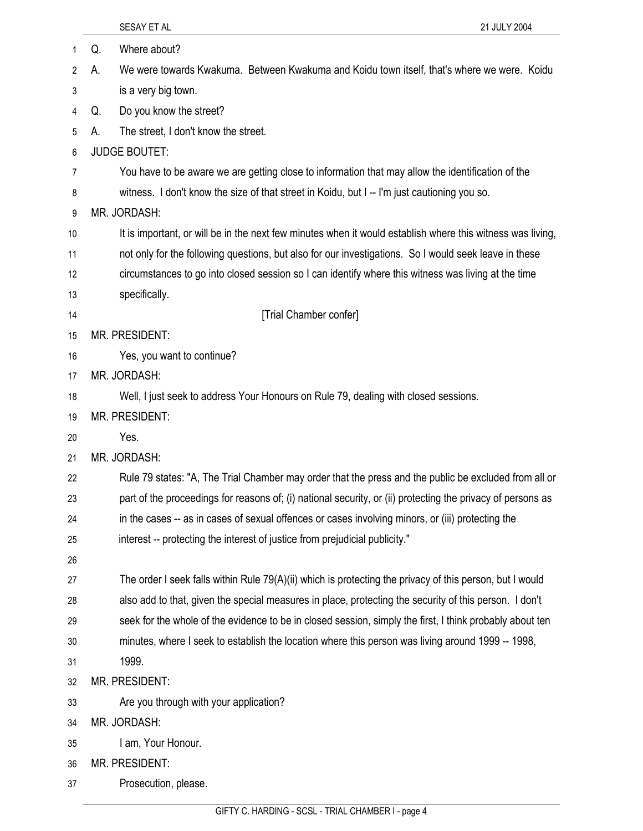|    | 21 JULY 2004<br>SESAY ET AL                                                                                 |
|----|-------------------------------------------------------------------------------------------------------------|
| 1  | Where about?<br>Q.                                                                                          |
| 2  | We were towards Kwakuma. Between Kwakuma and Koidu town itself, that's where we were. Koidu<br>А.           |
| 3  | is a very big town.                                                                                         |
| 4  | Do you know the street?<br>Q.                                                                               |
| 5  | The street, I don't know the street.<br>А.                                                                  |
| 6  | <b>JUDGE BOUTET:</b>                                                                                        |
| 7  | You have to be aware we are getting close to information that may allow the identification of the           |
| 8  | witness. I don't know the size of that street in Koidu, but I -- I'm just cautioning you so.                |
| 9  | MR. JORDASH:                                                                                                |
| 10 | It is important, or will be in the next few minutes when it would establish where this witness was living,  |
| 11 | not only for the following questions, but also for our investigations. So I would seek leave in these       |
| 12 | circumstances to go into closed session so I can identify where this witness was living at the time         |
| 13 | specifically.                                                                                               |
| 14 | [Trial Chamber confer]                                                                                      |
| 15 | MR. PRESIDENT:                                                                                              |
| 16 | Yes, you want to continue?                                                                                  |
| 17 | MR. JORDASH:                                                                                                |
| 18 | Well, I just seek to address Your Honours on Rule 79, dealing with closed sessions.                         |
| 19 | MR. PRESIDENT:                                                                                              |
| 20 | Yes.                                                                                                        |
| 21 | MR. JORDASH:                                                                                                |
| 22 | Rule 79 states: "A, The Trial Chamber may order that the press and the public be excluded from all or       |
| 23 | part of the proceedings for reasons of; (i) national security, or (ii) protecting the privacy of persons as |
| 24 | in the cases -- as in cases of sexual offences or cases involving minors, or (iii) protecting the           |
| 25 | interest -- protecting the interest of justice from prejudicial publicity."                                 |
| 26 |                                                                                                             |
| 27 | The order I seek falls within Rule 79(A)(ii) which is protecting the privacy of this person, but I would    |
| 28 | also add to that, given the special measures in place, protecting the security of this person. I don't      |
| 29 | seek for the whole of the evidence to be in closed session, simply the first, I think probably about ten    |
| 30 | minutes, where I seek to establish the location where this person was living around 1999 -- 1998,           |
| 31 | 1999.                                                                                                       |
| 32 | MR. PRESIDENT:                                                                                              |
| 33 | Are you through with your application?                                                                      |
| 34 | MR. JORDASH:                                                                                                |
| 35 | I am, Your Honour.                                                                                          |
| 36 | MR. PRESIDENT:                                                                                              |
| 37 | Prosecution, please.                                                                                        |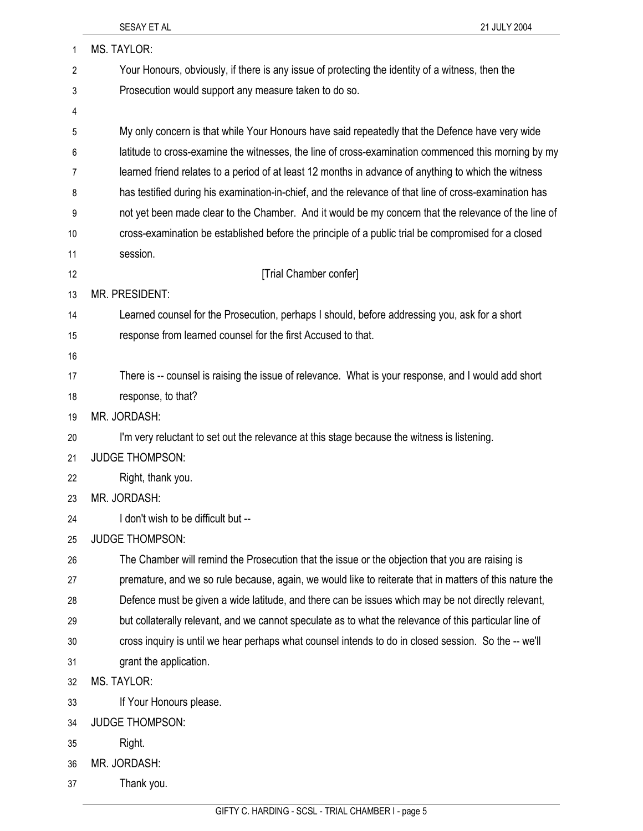| 1  | MS. TAYLOR:                                                                                             |
|----|---------------------------------------------------------------------------------------------------------|
| 2  | Your Honours, obviously, if there is any issue of protecting the identity of a witness, then the        |
| 3  | Prosecution would support any measure taken to do so.                                                   |
| 4  |                                                                                                         |
| 5  | My only concern is that while Your Honours have said repeatedly that the Defence have very wide         |
| 6  | latitude to cross-examine the witnesses, the line of cross-examination commenced this morning by my     |
| 7  | learned friend relates to a period of at least 12 months in advance of anything to which the witness    |
| 8  | has testified during his examination-in-chief, and the relevance of that line of cross-examination has  |
| 9  | not yet been made clear to the Chamber. And it would be my concern that the relevance of the line of    |
| 10 | cross-examination be established before the principle of a public trial be compromised for a closed     |
| 11 | session.                                                                                                |
| 12 | [Trial Chamber confer]                                                                                  |
| 13 | <b>MR. PRESIDENT:</b>                                                                                   |
| 14 | Learned counsel for the Prosecution, perhaps I should, before addressing you, ask for a short           |
| 15 | response from learned counsel for the first Accused to that.                                            |
| 16 |                                                                                                         |
| 17 | There is -- counsel is raising the issue of relevance. What is your response, and I would add short     |
| 18 | response, to that?                                                                                      |
| 19 | MR. JORDASH:                                                                                            |
| 20 | I'm very reluctant to set out the relevance at this stage because the witness is listening.             |
| 21 | <b>JUDGE THOMPSON:</b>                                                                                  |
| 22 | Right, thank you.                                                                                       |
| 23 | MR. JORDASH:                                                                                            |
| 24 | I don't wish to be difficult but --                                                                     |
| 25 | <b>JUDGE THOMPSON:</b>                                                                                  |
| 26 | The Chamber will remind the Prosecution that the issue or the objection that you are raising is         |
| 27 | premature, and we so rule because, again, we would like to reiterate that in matters of this nature the |
| 28 | Defence must be given a wide latitude, and there can be issues which may be not directly relevant,      |
| 29 | but collaterally relevant, and we cannot speculate as to what the relevance of this particular line of  |
| 30 | cross inquiry is until we hear perhaps what counsel intends to do in closed session. So the -- we'll    |
| 31 | grant the application.                                                                                  |
| 32 | <b>MS. TAYLOR:</b>                                                                                      |
| 33 | If Your Honours please.                                                                                 |
| 34 | <b>JUDGE THOMPSON:</b>                                                                                  |
| 35 | Right.                                                                                                  |
| 36 | MR. JORDASH:                                                                                            |
| 37 | Thank you.                                                                                              |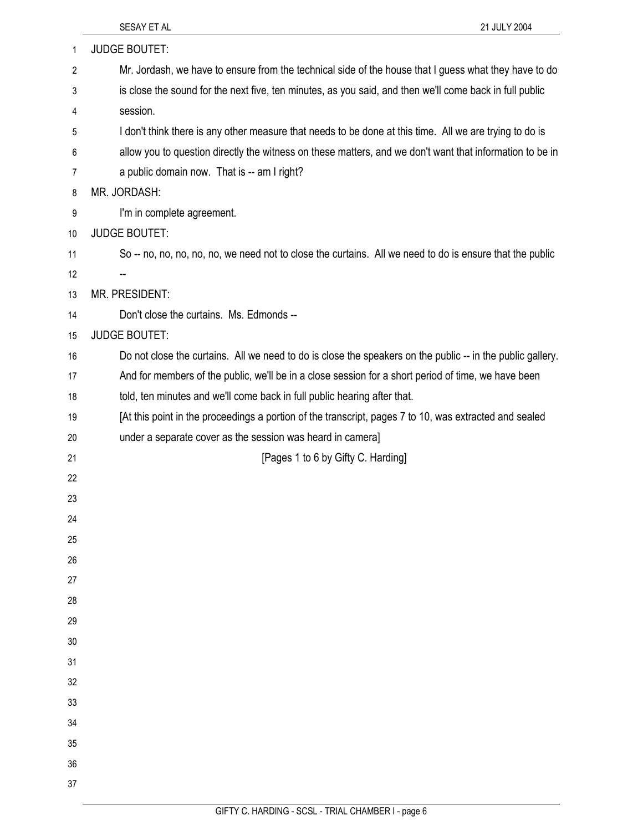| 1  | <b>JUDGE BOUTET:</b>                                                                                       |
|----|------------------------------------------------------------------------------------------------------------|
| 2  | Mr. Jordash, we have to ensure from the technical side of the house that I guess what they have to do      |
| 3  | is close the sound for the next five, ten minutes, as you said, and then we'll come back in full public    |
| 4  | session.                                                                                                   |
| 5  | I don't think there is any other measure that needs to be done at this time. All we are trying to do is    |
| 6  | allow you to question directly the witness on these matters, and we don't want that information to be in   |
| 7  | a public domain now. That is -- am I right?                                                                |
| 8  | MR. JORDASH:                                                                                               |
| 9  | I'm in complete agreement.                                                                                 |
| 10 | <b>JUDGE BOUTET:</b>                                                                                       |
| 11 | So -- no, no, no, no, no, we need not to close the curtains. All we need to do is ensure that the public   |
| 12 |                                                                                                            |
| 13 | MR. PRESIDENT:                                                                                             |
| 14 | Don't close the curtains. Ms. Edmonds --                                                                   |
| 15 | <b>JUDGE BOUTET:</b>                                                                                       |
| 16 | Do not close the curtains. All we need to do is close the speakers on the public -- in the public gallery. |
| 17 | And for members of the public, we'll be in a close session for a short period of time, we have been        |
| 18 | told, ten minutes and we'll come back in full public hearing after that.                                   |
| 19 | [At this point in the proceedings a portion of the transcript, pages 7 to 10, was extracted and sealed     |
| 20 | under a separate cover as the session was heard in camera]                                                 |
| 21 | [Pages 1 to 6 by Gifty C. Harding]                                                                         |
| 22 |                                                                                                            |
| 23 |                                                                                                            |
| 24 |                                                                                                            |
| 25 |                                                                                                            |
| 26 |                                                                                                            |
| 27 |                                                                                                            |
| 28 |                                                                                                            |
| 29 |                                                                                                            |
| 30 |                                                                                                            |
| 31 |                                                                                                            |
| 32 |                                                                                                            |
| 33 |                                                                                                            |
| 34 |                                                                                                            |
| 35 |                                                                                                            |
| 36 |                                                                                                            |
| 37 |                                                                                                            |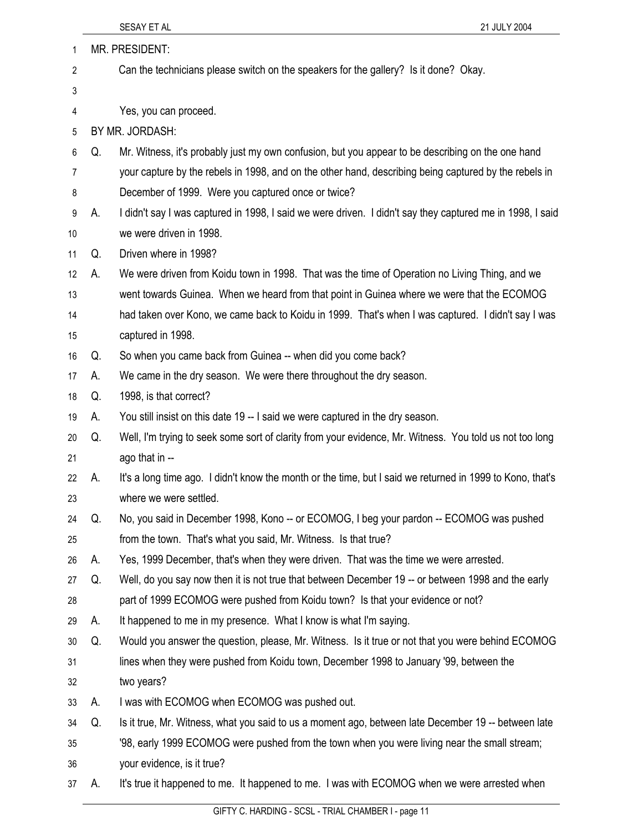| 1              | <b>MR. PRESIDENT:</b> |                                                                                                           |  |
|----------------|-----------------------|-----------------------------------------------------------------------------------------------------------|--|
| 2              |                       | Can the technicians please switch on the speakers for the gallery? Is it done? Okay.                      |  |
| 3              |                       |                                                                                                           |  |
| 4              |                       | Yes, you can proceed.                                                                                     |  |
| 5              |                       | BY MR. JORDASH:                                                                                           |  |
| 6              | Q.                    | Mr. Witness, it's probably just my own confusion, but you appear to be describing on the one hand         |  |
| $\overline{7}$ |                       | your capture by the rebels in 1998, and on the other hand, describing being captured by the rebels in     |  |
| 8              |                       | December of 1999. Were you captured once or twice?                                                        |  |
| 9              | А.                    | I didn't say I was captured in 1998, I said we were driven. I didn't say they captured me in 1998, I said |  |
| 10             |                       | we were driven in 1998.                                                                                   |  |
| 11             | Q.                    | Driven where in 1998?                                                                                     |  |
| 12             | А.                    | We were driven from Koidu town in 1998. That was the time of Operation no Living Thing, and we            |  |
| 13             |                       | went towards Guinea. When we heard from that point in Guinea where we were that the ECOMOG                |  |
| 14             |                       | had taken over Kono, we came back to Koidu in 1999. That's when I was captured. I didn't say I was        |  |
| 15             |                       | captured in 1998.                                                                                         |  |
| 16             | Q.                    | So when you came back from Guinea -- when did you come back?                                              |  |
| 17             | А.                    | We came in the dry season. We were there throughout the dry season.                                       |  |
| 18             | Q.                    | 1998, is that correct?                                                                                    |  |
| 19             | А.                    | You still insist on this date 19 -- I said we were captured in the dry season.                            |  |
| 20             | Q.                    | Well, I'm trying to seek some sort of clarity from your evidence, Mr. Witness. You told us not too long   |  |
| 21             |                       | ago that in --                                                                                            |  |
| 22             | А.                    | It's a long time ago. I didn't know the month or the time, but I said we returned in 1999 to Kono, that's |  |
| 23             |                       | where we were settled.                                                                                    |  |
| 24             | Q.                    | No, you said in December 1998, Kono -- or ECOMOG, I beg your pardon -- ECOMOG was pushed                  |  |
| 25             |                       | from the town. That's what you said, Mr. Witness. Is that true?                                           |  |
| 26             | А.                    | Yes, 1999 December, that's when they were driven. That was the time we were arrested.                     |  |
| 27             | Q.                    | Well, do you say now then it is not true that between December 19 -- or between 1998 and the early        |  |
| 28             |                       | part of 1999 ECOMOG were pushed from Koidu town? Is that your evidence or not?                            |  |
| 29             | А.                    | It happened to me in my presence. What I know is what I'm saying.                                         |  |
| 30             | Q.                    | Would you answer the question, please, Mr. Witness. Is it true or not that you were behind ECOMOG         |  |
| 31             |                       | lines when they were pushed from Koidu town, December 1998 to January '99, between the                    |  |
| 32             |                       | two years?                                                                                                |  |
| 33             | А.                    | I was with ECOMOG when ECOMOG was pushed out.                                                             |  |
| 34             | Q.                    | Is it true, Mr. Witness, what you said to us a moment ago, between late December 19 -- between late       |  |
| 35             |                       | '98, early 1999 ECOMOG were pushed from the town when you were living near the small stream;              |  |
| 36             |                       | your evidence, is it true?                                                                                |  |
| 37             | А.                    | It's true it happened to me. It happened to me. I was with ECOMOG when we were arrested when              |  |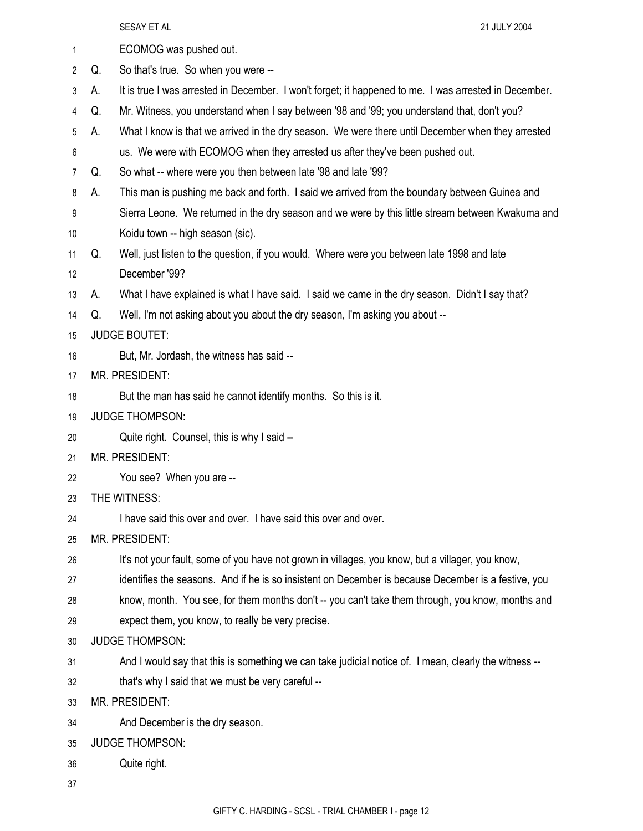| 1  |    | ECOMOG was pushed out.                                                                                |
|----|----|-------------------------------------------------------------------------------------------------------|
| 2  | Q. | So that's true. So when you were --                                                                   |
| 3  | А. | It is true I was arrested in December. I won't forget; it happened to me. I was arrested in December. |
| 4  | Q. | Mr. Witness, you understand when I say between '98 and '99; you understand that, don't you?           |
| 5  | А. | What I know is that we arrived in the dry season. We were there until December when they arrested     |
| 6  |    | us. We were with ECOMOG when they arrested us after they've been pushed out.                          |
| 7  | Q. | So what -- where were you then between late '98 and late '99?                                         |
| 8  | А. | This man is pushing me back and forth. I said we arrived from the boundary between Guinea and         |
| 9  |    | Sierra Leone. We returned in the dry season and we were by this little stream between Kwakuma and     |
| 10 |    | Koidu town -- high season (sic).                                                                      |
| 11 | Q. | Well, just listen to the question, if you would. Where were you between late 1998 and late            |
| 12 |    | December '99?                                                                                         |
| 13 | А. | What I have explained is what I have said. I said we came in the dry season. Didn't I say that?       |
| 14 | Q. | Well, I'm not asking about you about the dry season, I'm asking you about --                          |
| 15 |    | <b>JUDGE BOUTET:</b>                                                                                  |
| 16 |    | But, Mr. Jordash, the witness has said --                                                             |
| 17 |    | MR. PRESIDENT:                                                                                        |
| 18 |    | But the man has said he cannot identify months. So this is it.                                        |
| 19 |    | <b>JUDGE THOMPSON:</b>                                                                                |
| 20 |    | Quite right. Counsel, this is why I said --                                                           |
| 21 |    | MR. PRESIDENT:                                                                                        |
| 22 |    | You see? When you are --                                                                              |
| 23 |    | THE WITNESS:                                                                                          |
| 24 |    | I have said this over and over. I have said this over and over.                                       |
| 25 |    | MR. PRESIDENT:                                                                                        |
| 26 |    | It's not your fault, some of you have not grown in villages, you know, but a villager, you know,      |
| 27 |    | identifies the seasons. And if he is so insistent on December is because December is a festive, you   |
| 28 |    | know, month. You see, for them months don't -- you can't take them through, you know, months and      |
| 29 |    | expect them, you know, to really be very precise.                                                     |
| 30 |    | <b>JUDGE THOMPSON:</b>                                                                                |
| 31 |    | And I would say that this is something we can take judicial notice of. I mean, clearly the witness -- |
| 32 |    | that's why I said that we must be very careful --                                                     |
| 33 |    | MR. PRESIDENT:                                                                                        |
| 34 |    | And December is the dry season.                                                                       |
| 35 |    | <b>JUDGE THOMPSON:</b>                                                                                |
| 36 |    | Quite right.                                                                                          |
| 37 |    |                                                                                                       |

SESAY ET AL 21 JULY 2004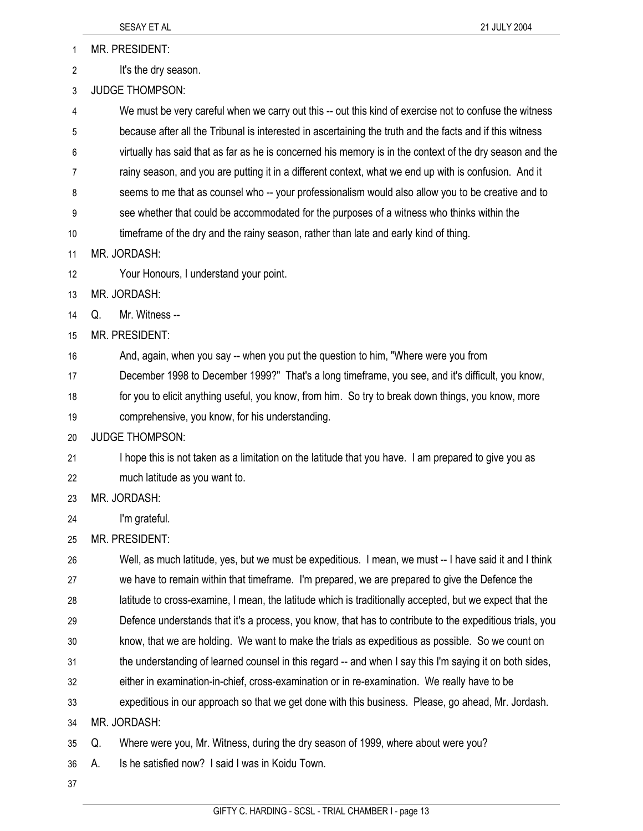1 MR. PRESIDENT:

- 2 It's the dry season.
- 3 JUDGE THOMPSON:

4 We must be very careful when we carry out this -- out this kind of exercise not to confuse the witness 5 because after all the Tribunal is interested in ascertaining the truth and the facts and if this witness 6 virtually has said that as far as he is concerned his memory is in the context of the dry season and the 7 rainy season, and you are putting it in a different context, what we end up with is confusion. And it 8 seems to me that as counsel who -- your professionalism would also allow you to be creative and to 9 see whether that could be accommodated for the purposes of a witness who thinks within the 10 timeframe of the dry and the rainy season, rather than late and early kind of thing.

- 11 MR. JORDASH:
- 12 Your Honours, I understand your point.
- 13 MR. JORDASH:
- 14 Q. Mr. Witness --
- 15 MR. PRESIDENT:

16 And, again, when you say -- when you put the question to him, "Where were you from

17 December 1998 to December 1999?" That's a long timeframe, you see, and it's difficult, you know,

18 for you to elicit anything useful, you know, from him. So try to break down things, you know, more

- 19 comprehensive, you know, for his understanding.
- 20 JUDGE THOMPSON:

21 I hope this is not taken as a limitation on the latitude that you have. I am prepared to give you as 22 much latitude as you want to.

- 23 MR. JORDASH:
- 24 I'm grateful.
- 25 MR. PRESIDENT:

26 Well, as much latitude, yes, but we must be expeditious. I mean, we must -- I have said it and I think 27 we have to remain within that timeframe. I'm prepared, we are prepared to give the Defence the 28 latitude to cross-examine, I mean, the latitude which is traditionally accepted, but we expect that the 29 Defence understands that it's a process, you know, that has to contribute to the expeditious trials, you 30 know, that we are holding. We want to make the trials as expeditious as possible. So we count on 31 the understanding of learned counsel in this regard -- and when I say this I'm saying it on both sides, 32 either in examination-in-chief, cross-examination or in re-examination. We really have to be 33 expeditious in our approach so that we get done with this business. Please, go ahead, Mr. Jordash. 34 MR. JORDASH:

35 Q. Where were you, Mr. Witness, during the dry season of 1999, where about were you?

- 36 A. Is he satisfied now? I said I was in Koidu Town.
- 37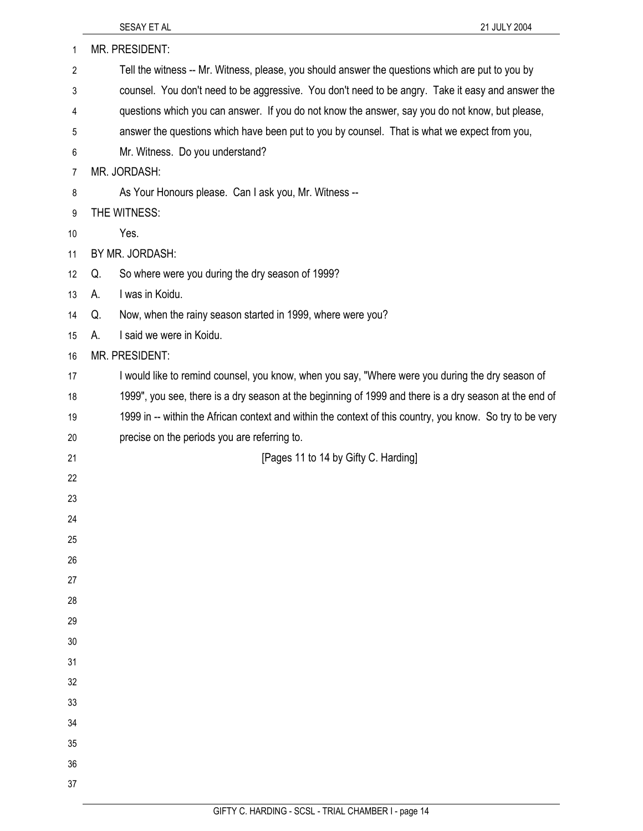| 1              | MR. PRESIDENT:                                                                                            |
|----------------|-----------------------------------------------------------------------------------------------------------|
| $\overline{2}$ | Tell the witness -- Mr. Witness, please, you should answer the questions which are put to you by          |
| 3              | counsel. You don't need to be aggressive. You don't need to be angry. Take it easy and answer the         |
| 4              | questions which you can answer. If you do not know the answer, say you do not know, but please,           |
| 5              | answer the questions which have been put to you by counsel. That is what we expect from you,              |
| 6              | Mr. Witness. Do you understand?                                                                           |
| 7              | MR. JORDASH:                                                                                              |
| 8              | As Your Honours please. Can I ask you, Mr. Witness --                                                     |
| 9              | THE WITNESS:                                                                                              |
| 10             | Yes.                                                                                                      |
| 11             | BY MR. JORDASH:                                                                                           |
| 12             | So where were you during the dry season of 1999?<br>Q.                                                    |
| 13             | I was in Koidu.<br>А.                                                                                     |
| 14             | Now, when the rainy season started in 1999, where were you?<br>Q.                                         |
| 15             | I said we were in Koidu.<br>А.                                                                            |
| 16             | MR. PRESIDENT:                                                                                            |
| 17             | I would like to remind counsel, you know, when you say, "Where were you during the dry season of          |
| 18             | 1999", you see, there is a dry season at the beginning of 1999 and there is a dry season at the end of    |
| 19             | 1999 in -- within the African context and within the context of this country, you know. So try to be very |
| 20             | precise on the periods you are referring to.                                                              |
| 21             | [Pages 11 to 14 by Gifty C. Harding]                                                                      |
| 22             |                                                                                                           |
| 23             |                                                                                                           |
| 24             |                                                                                                           |
| 25             |                                                                                                           |
| 26             |                                                                                                           |
| 27             |                                                                                                           |
| 28             |                                                                                                           |
| 29             |                                                                                                           |
| 30<br>31       |                                                                                                           |
| 32             |                                                                                                           |
| 33             |                                                                                                           |
| 34             |                                                                                                           |
| 35             |                                                                                                           |
| 36             |                                                                                                           |
| 37             |                                                                                                           |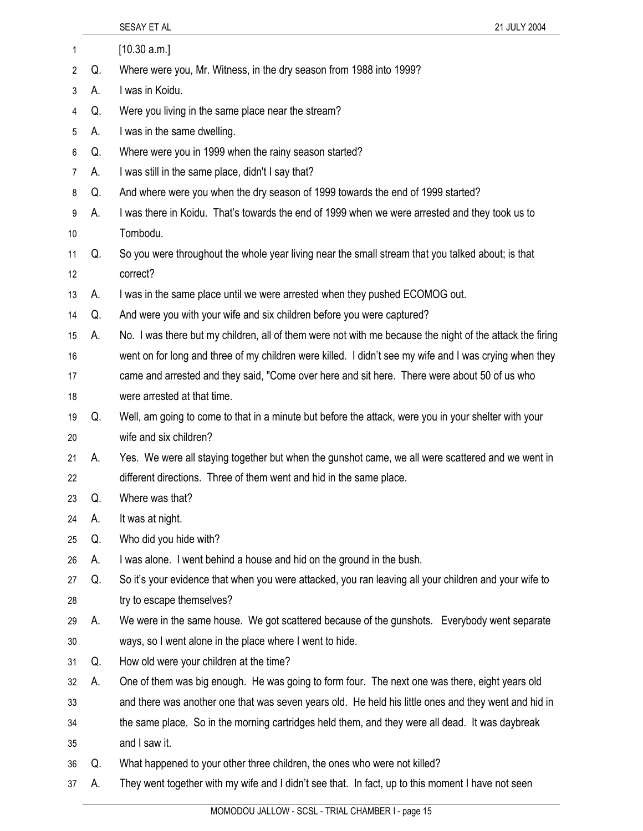|    |    | SESAY ET AL<br>21 JULY 2004                                                                              |
|----|----|----------------------------------------------------------------------------------------------------------|
| 1  |    | [10.30 a.m.]                                                                                             |
| 2  | Q. | Where were you, Mr. Witness, in the dry season from 1988 into 1999?                                      |
| 3  | А. | I was in Koidu.                                                                                          |
| 4  | Q. | Were you living in the same place near the stream?                                                       |
| 5  | А. | I was in the same dwelling.                                                                              |
| 6  | Q. | Where were you in 1999 when the rainy season started?                                                    |
| 7  | А. | I was still in the same place, didn't I say that?                                                        |
| 8  | Q. | And where were you when the dry season of 1999 towards the end of 1999 started?                          |
| 9  | А. | I was there in Koidu. That's towards the end of 1999 when we were arrested and they took us to           |
| 10 |    | Tombodu.                                                                                                 |
| 11 | Q. | So you were throughout the whole year living near the small stream that you talked about; is that        |
| 12 |    | correct?                                                                                                 |
| 13 | А. | I was in the same place until we were arrested when they pushed ECOMOG out.                              |
| 14 | Q. | And were you with your wife and six children before you were captured?                                   |
| 15 | А. | No. I was there but my children, all of them were not with me because the night of the attack the firing |
| 16 |    | went on for long and three of my children were killed. I didn't see my wife and I was crying when they   |
| 17 |    | came and arrested and they said, "Come over here and sit here. There were about 50 of us who             |
| 18 |    | were arrested at that time.                                                                              |
| 19 | Q. | Well, am going to come to that in a minute but before the attack, were you in your shelter with your     |
| 20 |    | wife and six children?                                                                                   |
| 21 | А. | Yes. We were all staying together but when the gunshot came, we all were scattered and we went in        |
| 22 |    | different directions. Three of them went and hid in the same place.                                      |
| 23 | Q. | Where was that?                                                                                          |
| 24 | А. | It was at night.                                                                                         |
| 25 | Q. | Who did you hide with?                                                                                   |
| 26 | А. | I was alone. I went behind a house and hid on the ground in the bush.                                    |
| 27 | Q. | So it's your evidence that when you were attacked, you ran leaving all your children and your wife to    |
| 28 |    | try to escape themselves?                                                                                |
| 29 | А. | We were in the same house. We got scattered because of the gunshots. Everybody went separate             |
| 30 |    | ways, so I went alone in the place where I went to hide.                                                 |
| 31 | Q. | How old were your children at the time?                                                                  |
| 32 | А. | One of them was big enough. He was going to form four. The next one was there, eight years old           |
| 33 |    | and there was another one that was seven years old. He held his little ones and they went and hid in     |
| 34 |    | the same place. So in the morning cartridges held them, and they were all dead. It was daybreak          |
| 35 |    | and I saw it.                                                                                            |
| 36 | Q. | What happened to your other three children, the ones who were not killed?                                |
| 37 | А. | They went together with my wife and I didn't see that. In fact, up to this moment I have not seen        |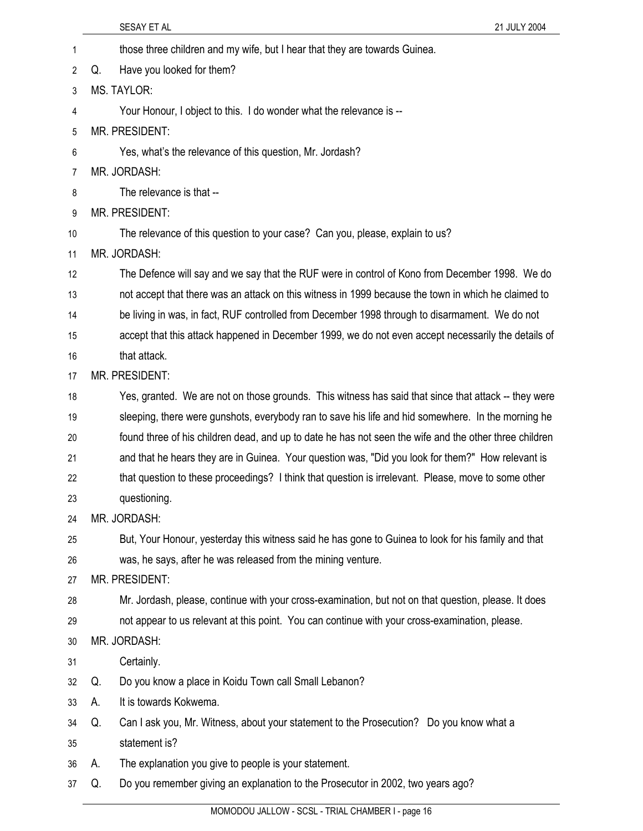|    | 21 JULY 2004<br>SESAY ET AL                                                                            |  |
|----|--------------------------------------------------------------------------------------------------------|--|
| 1  | those three children and my wife, but I hear that they are towards Guinea.                             |  |
| 2  | Have you looked for them?<br>Q.                                                                        |  |
| 3  | MS. TAYLOR:                                                                                            |  |
| 4  | Your Honour, I object to this. I do wonder what the relevance is --                                    |  |
| 5  | MR. PRESIDENT:                                                                                         |  |
| 6  | Yes, what's the relevance of this question, Mr. Jordash?                                               |  |
| 7  | MR. JORDASH:                                                                                           |  |
| 8  | The relevance is that --                                                                               |  |
| 9  | MR. PRESIDENT:                                                                                         |  |
| 10 | The relevance of this question to your case? Can you, please, explain to us?                           |  |
| 11 | MR. JORDASH:                                                                                           |  |
| 12 | The Defence will say and we say that the RUF were in control of Kono from December 1998. We do         |  |
| 13 | not accept that there was an attack on this witness in 1999 because the town in which he claimed to    |  |
| 14 | be living in was, in fact, RUF controlled from December 1998 through to disarmament. We do not         |  |
| 15 | accept that this attack happened in December 1999, we do not even accept necessarily the details of    |  |
| 16 | that attack.                                                                                           |  |
| 17 | MR. PRESIDENT:                                                                                         |  |
| 18 | Yes, granted. We are not on those grounds. This witness has said that since that attack -- they were   |  |
| 19 | sleeping, there were gunshots, everybody ran to save his life and hid somewhere. In the morning he     |  |
| 20 | found three of his children dead, and up to date he has not seen the wife and the other three children |  |
| 21 | and that he hears they are in Guinea. Your question was, "Did you look for them?" How relevant is      |  |
| 22 | that question to these proceedings? I think that question is irrelevant. Please, move to some other    |  |
| 23 | questioning.                                                                                           |  |
| 24 | MR. JORDASH:                                                                                           |  |
| 25 | But, Your Honour, yesterday this witness said he has gone to Guinea to look for his family and that    |  |
| 26 | was, he says, after he was released from the mining venture.                                           |  |
| 27 | MR. PRESIDENT:                                                                                         |  |
| 28 | Mr. Jordash, please, continue with your cross-examination, but not on that question, please. It does   |  |
| 29 | not appear to us relevant at this point. You can continue with your cross-examination, please.         |  |
| 30 | MR. JORDASH:                                                                                           |  |
| 31 | Certainly.                                                                                             |  |
| 32 | Do you know a place in Koidu Town call Small Lebanon?<br>Q.                                            |  |
| 33 | It is towards Kokwema.<br>А.                                                                           |  |
| 34 | Can I ask you, Mr. Witness, about your statement to the Prosecution? Do you know what a<br>Q.          |  |
| 35 | statement is?                                                                                          |  |
| 36 | The explanation you give to people is your statement.<br>А.                                            |  |
| 37 | Do you remember giving an explanation to the Prosecutor in 2002, two years ago?<br>Q.                  |  |
|    |                                                                                                        |  |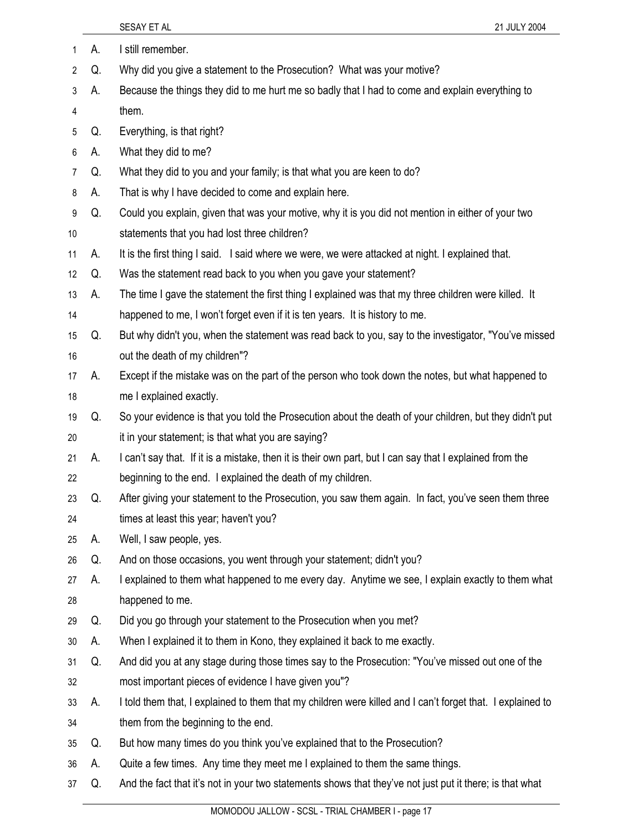| 1  | А. | I still remember.                                                                                          |
|----|----|------------------------------------------------------------------------------------------------------------|
| 2  | Q. | Why did you give a statement to the Prosecution? What was your motive?                                     |
| 3  | А. | Because the things they did to me hurt me so badly that I had to come and explain everything to            |
| 4  |    | them.                                                                                                      |
| 5  | Q. | Everything, is that right?                                                                                 |
| 6  | А. | What they did to me?                                                                                       |
| 7  | Q. | What they did to you and your family; is that what you are keen to do?                                     |
| 8  | А. | That is why I have decided to come and explain here.                                                       |
| 9  | Q. | Could you explain, given that was your motive, why it is you did not mention in either of your two         |
| 10 |    | statements that you had lost three children?                                                               |
| 11 | А. | It is the first thing I said. I said where we were, we were attacked at night. I explained that.           |
| 12 | Q. | Was the statement read back to you when you gave your statement?                                           |
| 13 | А. | The time I gave the statement the first thing I explained was that my three children were killed. It       |
| 14 |    | happened to me, I won't forget even if it is ten years. It is history to me.                               |
| 15 | Q. | But why didn't you, when the statement was read back to you, say to the investigator, "You've missed       |
| 16 |    | out the death of my children"?                                                                             |
| 17 | А. | Except if the mistake was on the part of the person who took down the notes, but what happened to          |
| 18 |    | me I explained exactly.                                                                                    |
| 19 | Q. | So your evidence is that you told the Prosecution about the death of your children, but they didn't put    |
| 20 |    | it in your statement; is that what you are saying?                                                         |
| 21 | А. | I can't say that. If it is a mistake, then it is their own part, but I can say that I explained from the   |
| 22 |    | beginning to the end. I explained the death of my children.                                                |
| 23 | Q. | After giving your statement to the Prosecution, you saw them again. In fact, you've seen them three        |
| 24 |    | times at least this year; haven't you?                                                                     |
| 25 | А. | Well, I saw people, yes.                                                                                   |
| 26 | Q. | And on those occasions, you went through your statement; didn't you?                                       |
| 27 | А. | I explained to them what happened to me every day. Anytime we see, I explain exactly to them what          |
| 28 |    | happened to me.                                                                                            |
| 29 | Q. | Did you go through your statement to the Prosecution when you met?                                         |
| 30 | А. | When I explained it to them in Kono, they explained it back to me exactly.                                 |
| 31 | Q. | And did you at any stage during those times say to the Prosecution: "You've missed out one of the          |
| 32 |    | most important pieces of evidence I have given you"?                                                       |
| 33 | А. | I told them that, I explained to them that my children were killed and I can't forget that. I explained to |
| 34 |    | them from the beginning to the end.                                                                        |
| 35 | Q. | But how many times do you think you've explained that to the Prosecution?                                  |
| 36 | А. | Quite a few times. Any time they meet me I explained to them the same things.                              |
| 37 | Q. | And the fact that it's not in your two statements shows that they've not just put it there; is that what   |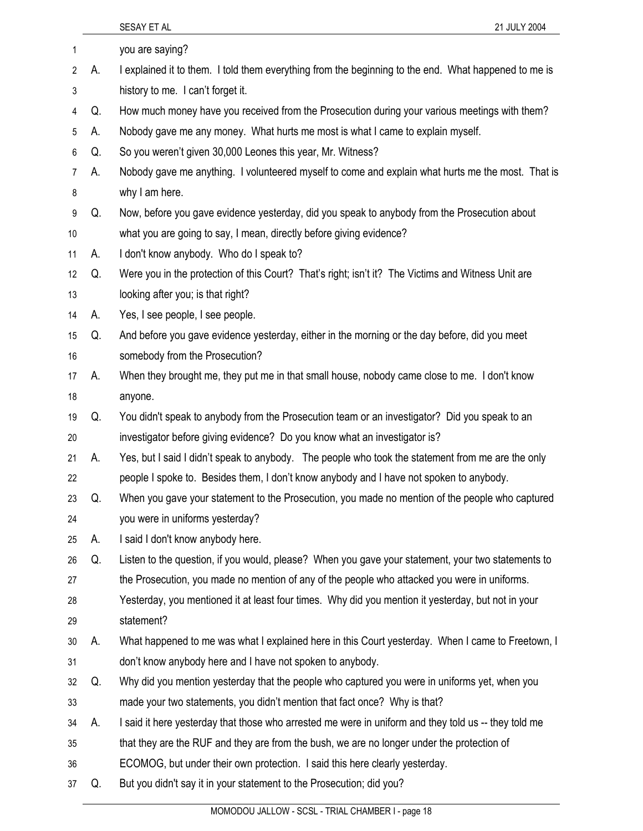|                |    | SESAY ET AL<br>21 JULY 2004                                                                          |
|----------------|----|------------------------------------------------------------------------------------------------------|
| 1              |    | you are saying?                                                                                      |
| 2              | А. | I explained it to them. I told them everything from the beginning to the end. What happened to me is |
| 3              |    | history to me. I can't forget it.                                                                    |
| 4              | Q. | How much money have you received from the Prosecution during your various meetings with them?        |
| 5              | А. | Nobody gave me any money. What hurts me most is what I came to explain myself.                       |
| 6              | Q. | So you weren't given 30,000 Leones this year, Mr. Witness?                                           |
| $\overline{7}$ | А. | Nobody gave me anything. I volunteered myself to come and explain what hurts me the most. That is    |
| 8              |    | why I am here.                                                                                       |
| 9              | Q. | Now, before you gave evidence yesterday, did you speak to anybody from the Prosecution about         |
| 10             |    | what you are going to say, I mean, directly before giving evidence?                                  |
| 11             | А. | I don't know anybody. Who do I speak to?                                                             |
| 12             | Q. | Were you in the protection of this Court? That's right; isn't it? The Victims and Witness Unit are   |
| 13             |    | looking after you; is that right?                                                                    |
| 14             | А. | Yes, I see people, I see people.                                                                     |
| 15             | Q. | And before you gave evidence yesterday, either in the morning or the day before, did you meet        |
| 16             |    | somebody from the Prosecution?                                                                       |
| 17             | А. | When they brought me, they put me in that small house, nobody came close to me. I don't know         |
| 18             |    | anyone.                                                                                              |
| 19             | Q. | You didn't speak to anybody from the Prosecution team or an investigator? Did you speak to an        |
| 20             |    | investigator before giving evidence? Do you know what an investigator is?                            |
| 21             | А. | Yes, but I said I didn't speak to anybody. The people who took the statement from me are the only    |
| 22             |    | people I spoke to. Besides them, I don't know anybody and I have not spoken to anybody.              |
| 23             | Q. | When you gave your statement to the Prosecution, you made no mention of the people who captured      |
| 24             |    | you were in uniforms yesterday?                                                                      |
| 25             | А. | I said I don't know anybody here.                                                                    |
| 26             | Q. | Listen to the question, if you would, please? When you gave your statement, your two statements to   |
| 27             |    | the Prosecution, you made no mention of any of the people who attacked you were in uniforms.         |
| 28             |    | Yesterday, you mentioned it at least four times. Why did you mention it yesterday, but not in your   |
| 29             |    | statement?                                                                                           |
| 30             | А. | What happened to me was what I explained here in this Court yesterday. When I came to Freetown, I    |
| 31             |    | don't know anybody here and I have not spoken to anybody.                                            |
| 32             | Q. | Why did you mention yesterday that the people who captured you were in uniforms yet, when you        |
| 33             |    | made your two statements, you didn't mention that fact once? Why is that?                            |
| 34             | А. | I said it here yesterday that those who arrested me were in uniform and they told us -- they told me |
| 35             |    | that they are the RUF and they are from the bush, we are no longer under the protection of           |
| 36             |    | ECOMOG, but under their own protection. I said this here clearly yesterday.                          |
| 37             | Q. | But you didn't say it in your statement to the Prosecution; did you?                                 |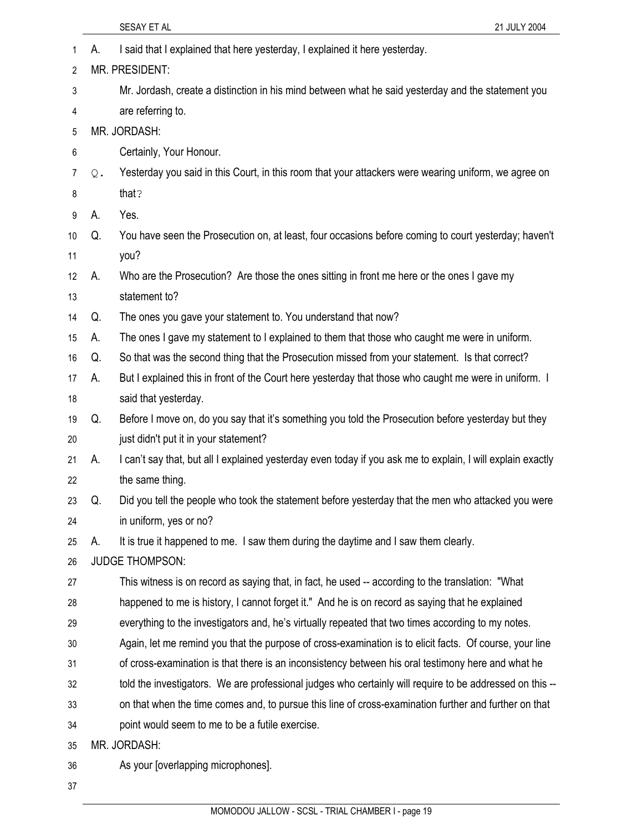|    |    | SESAY ET AL<br>21 JULY 2004                                                                                 |
|----|----|-------------------------------------------------------------------------------------------------------------|
| 1  | А. | I said that I explained that here yesterday, I explained it here yesterday.                                 |
| 2  |    | MR. PRESIDENT:                                                                                              |
| 3  |    | Mr. Jordash, create a distinction in his mind between what he said yesterday and the statement you          |
| 4  |    | are referring to.                                                                                           |
| 5  |    | MR. JORDASH:                                                                                                |
| 6  |    | Certainly, Your Honour.                                                                                     |
| 7  | Q. | Yesterday you said in this Court, in this room that your attackers were wearing uniform, we agree on        |
| 8  |    | that?                                                                                                       |
| 9  | А. | Yes.                                                                                                        |
| 10 | Q. | You have seen the Prosecution on, at least, four occasions before coming to court yesterday; haven't        |
| 11 |    | you?                                                                                                        |
| 12 | А. | Who are the Prosecution? Are those the ones sitting in front me here or the ones I gave my                  |
| 13 |    | statement to?                                                                                               |
| 14 | Q. | The ones you gave your statement to. You understand that now?                                               |
| 15 | А. | The ones I gave my statement to I explained to them that those who caught me were in uniform.               |
| 16 | Q. | So that was the second thing that the Prosecution missed from your statement. Is that correct?              |
| 17 | А. | But I explained this in front of the Court here yesterday that those who caught me were in uniform. I       |
| 18 |    | said that yesterday.                                                                                        |
| 19 | Q. | Before I move on, do you say that it's something you told the Prosecution before yesterday but they         |
| 20 |    | just didn't put it in your statement?                                                                       |
| 21 | А. | I can't say that, but all I explained yesterday even today if you ask me to explain, I will explain exactly |
| 22 |    | the same thing.                                                                                             |
| 23 | Q. | Did you tell the people who took the statement before yesterday that the men who attacked you were          |
| 24 |    | in uniform, yes or no?                                                                                      |
| 25 | А. | It is true it happened to me. I saw them during the daytime and I saw them clearly.                         |
| 26 |    | <b>JUDGE THOMPSON:</b>                                                                                      |
| 27 |    | This witness is on record as saying that, in fact, he used -- according to the translation: "What           |
| 28 |    | happened to me is history, I cannot forget it." And he is on record as saying that he explained             |
| 29 |    | everything to the investigators and, he's virtually repeated that two times according to my notes.          |
| 30 |    | Again, let me remind you that the purpose of cross-examination is to elicit facts. Of course, your line     |
| 31 |    | of cross-examination is that there is an inconsistency between his oral testimony here and what he          |
| 32 |    | told the investigators. We are professional judges who certainly will require to be addressed on this --    |
| 33 |    | on that when the time comes and, to pursue this line of cross-examination further and further on that       |
| 34 |    | point would seem to me to be a futile exercise.                                                             |
| 35 |    | MR. JORDASH:                                                                                                |
| 36 |    | As your [overlapping microphones].                                                                          |
| 37 |    |                                                                                                             |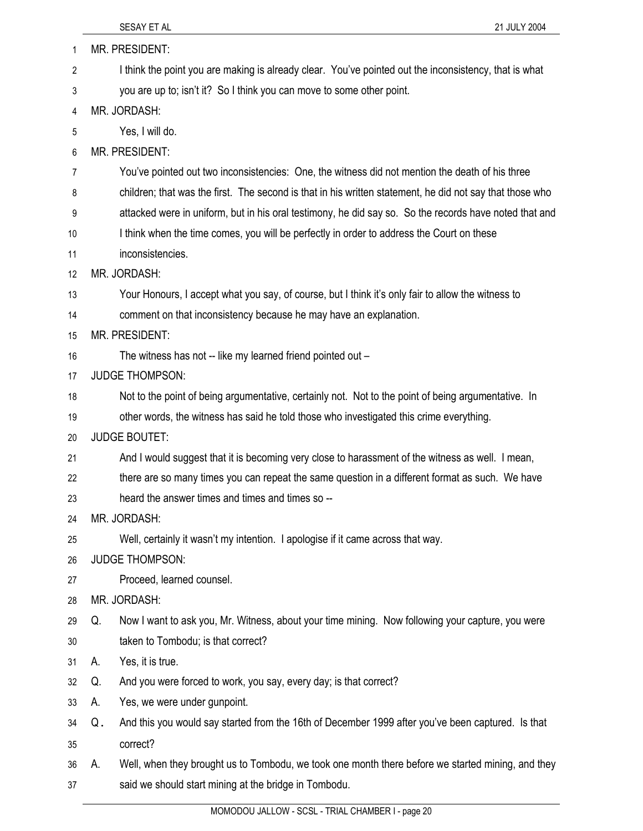| 1  |    | MR. PRESIDENT:                                                                                           |
|----|----|----------------------------------------------------------------------------------------------------------|
| 2  |    | I think the point you are making is already clear. You've pointed out the inconsistency, that is what    |
| 3  |    | you are up to; isn't it? So I think you can move to some other point.                                    |
| 4  |    | MR. JORDASH:                                                                                             |
| 5  |    | Yes, I will do.                                                                                          |
| 6  |    | MR. PRESIDENT:                                                                                           |
| 7  |    | You've pointed out two inconsistencies: One, the witness did not mention the death of his three          |
| 8  |    | children; that was the first. The second is that in his written statement, he did not say that those who |
| 9  |    | attacked were in uniform, but in his oral testimony, he did say so. So the records have noted that and   |
| 10 |    | I think when the time comes, you will be perfectly in order to address the Court on these                |
| 11 |    | inconsistencies.                                                                                         |
| 12 |    | MR. JORDASH:                                                                                             |
| 13 |    | Your Honours, I accept what you say, of course, but I think it's only fair to allow the witness to       |
| 14 |    | comment on that inconsistency because he may have an explanation.                                        |
| 15 |    | <b>MR. PRESIDENT:</b>                                                                                    |
| 16 |    | The witness has not -- like my learned friend pointed out -                                              |
| 17 |    | <b>JUDGE THOMPSON:</b>                                                                                   |
| 18 |    | Not to the point of being argumentative, certainly not. Not to the point of being argumentative. In      |
| 19 |    | other words, the witness has said he told those who investigated this crime everything.                  |
| 20 |    | <b>JUDGE BOUTET:</b>                                                                                     |
| 21 |    | And I would suggest that it is becoming very close to harassment of the witness as well. I mean,         |
| 22 |    | there are so many times you can repeat the same question in a different format as such. We have          |
| 23 |    | heard the answer times and times and times so --                                                         |
| 24 |    | MR. JORDASH:                                                                                             |
| 25 |    | Well, certainly it wasn't my intention. I apologise if it came across that way.                          |
| 26 |    | <b>JUDGE THOMPSON:</b>                                                                                   |
| 27 |    | Proceed, learned counsel.                                                                                |
| 28 |    | MR. JORDASH:                                                                                             |
| 29 | Q. | Now I want to ask you, Mr. Witness, about your time mining. Now following your capture, you were         |
| 30 |    | taken to Tombodu; is that correct?                                                                       |
| 31 | А. | Yes, it is true.                                                                                         |
| 32 | Q. | And you were forced to work, you say, every day; is that correct?                                        |
| 33 | А. | Yes, we were under gunpoint.                                                                             |
| 34 | Q. | And this you would say started from the 16th of December 1999 after you've been captured. Is that        |
| 35 |    | correct?                                                                                                 |
| 36 | А. | Well, when they brought us to Tombodu, we took one month there before we started mining, and they        |
| 37 |    | said we should start mining at the bridge in Tombodu.                                                    |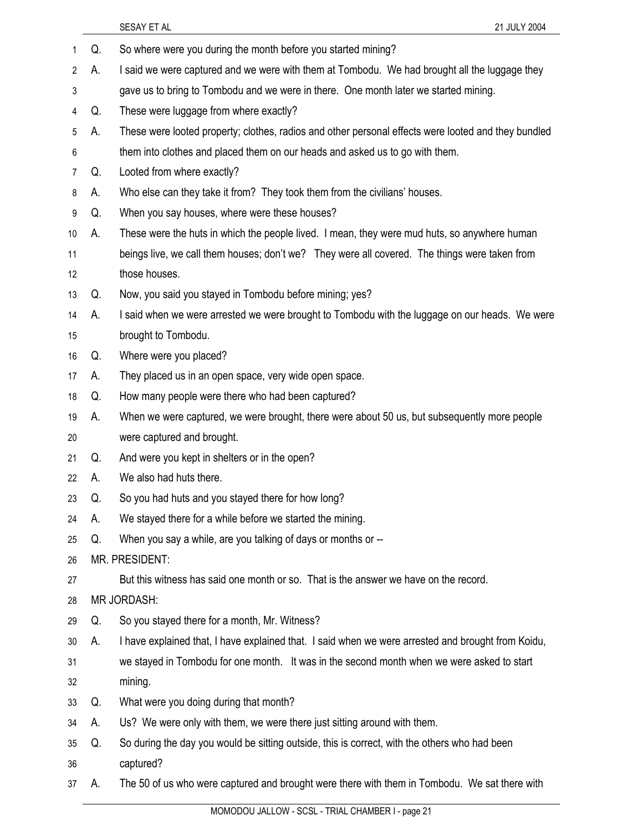|                |    | SESAY ET AL<br>21 JULY 2004                                                                         |
|----------------|----|-----------------------------------------------------------------------------------------------------|
| 1              | Q. | So where were you during the month before you started mining?                                       |
| $\overline{2}$ | А. | I said we were captured and we were with them at Tombodu. We had brought all the luggage they       |
| 3              |    | gave us to bring to Tombodu and we were in there. One month later we started mining.                |
| 4              | Q. | These were luggage from where exactly?                                                              |
| 5              | А. | These were looted property; clothes, radios and other personal effects were looted and they bundled |
| 6              |    | them into clothes and placed them on our heads and asked us to go with them.                        |
| $\overline{7}$ | Q. | Looted from where exactly?                                                                          |
| 8              | А. | Who else can they take it from? They took them from the civilians' houses.                          |
| 9              | Q. | When you say houses, where were these houses?                                                       |
| 10             | А. | These were the huts in which the people lived. I mean, they were mud huts, so anywhere human        |
| 11             |    | beings live, we call them houses; don't we? They were all covered. The things were taken from       |
| 12             |    | those houses.                                                                                       |
| 13             | Q. | Now, you said you stayed in Tombodu before mining; yes?                                             |
| 14             | А. | I said when we were arrested we were brought to Tombodu with the luggage on our heads. We were      |
| 15             |    | brought to Tombodu.                                                                                 |
| 16             | Q. | Where were you placed?                                                                              |
| 17             | А. | They placed us in an open space, very wide open space.                                              |
| 18             | Q. | How many people were there who had been captured?                                                   |
| 19             | А. | When we were captured, we were brought, there were about 50 us, but subsequently more people        |
| 20             |    | were captured and brought.                                                                          |
| 21             | Q. | And were you kept in shelters or in the open?                                                       |
| 22             | А. | We also had huts there.                                                                             |
| 23             | Q. | So you had huts and you stayed there for how long?                                                  |
| 24             | А. | We stayed there for a while before we started the mining.                                           |
| 25             | Q. | When you say a while, are you talking of days or months or --                                       |
| 26             |    | MR. PRESIDENT:                                                                                      |
| 27             |    | But this witness has said one month or so. That is the answer we have on the record.                |
| 28             |    | <b>MR JORDASH:</b>                                                                                  |
| 29             | Q. | So you stayed there for a month, Mr. Witness?                                                       |
| 30             | А. | I have explained that, I have explained that. I said when we were arrested and brought from Koidu,  |
| 31             |    | we stayed in Tombodu for one month. It was in the second month when we were asked to start          |
| 32             |    | mining.                                                                                             |
| 33             | Q. | What were you doing during that month?                                                              |
| 34             | А. | Us? We were only with them, we were there just sitting around with them.                            |
| 35             | Q. | So during the day you would be sitting outside, this is correct, with the others who had been       |
| 36             |    | captured?                                                                                           |
| 37             | А. | The 50 of us who were captured and brought were there with them in Tombodu. We sat there with       |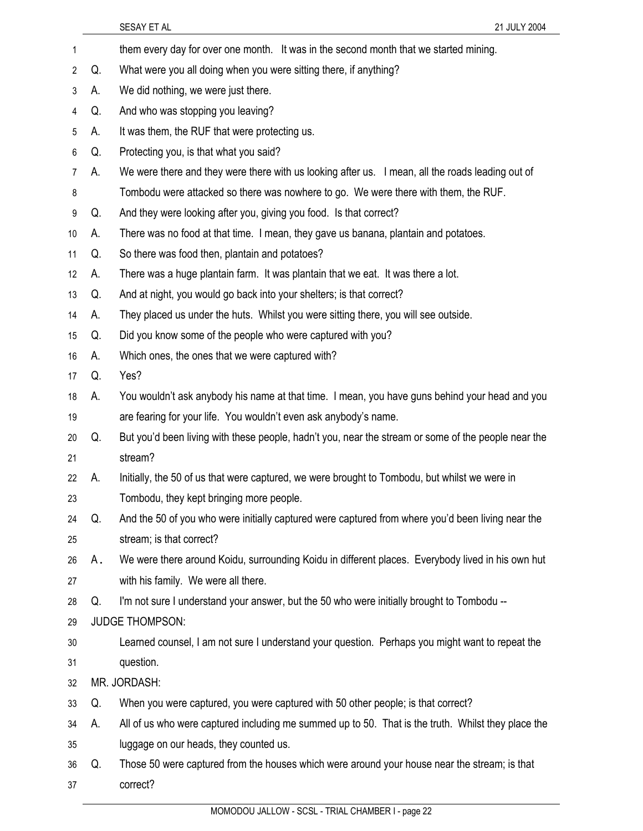SESAY ET AL 21 JULY 2004 1 them every day for over one month. It was in the second month that we started mining. 2 Q. What were you all doing when you were sitting there, if anything? 3 A. We did nothing, we were just there. 4 Q. And who was stopping you leaving? 5 A. It was them, the RUF that were protecting us. 6 Q. Protecting you, is that what you said? 7 A. We were there and they were there with us looking after us. I mean, all the roads leading out of 8 Tombodu were attacked so there was nowhere to go. We were there with them, the RUF. 9 Q. And they were looking after you, giving you food. Is that correct? 10 A. There was no food at that time. I mean, they gave us banana, plantain and potatoes. 11 Q. So there was food then, plantain and potatoes? 12 A. There was a huge plantain farm. It was plantain that we eat. It was there a lot. 13 Q. And at night, you would go back into your shelters; is that correct? 14 A. They placed us under the huts. Whilst you were sitting there, you will see outside. 15 Q. Did you know some of the people who were captured with you? 16 A. Which ones, the ones that we were captured with? 17 Q. Yes? 18 A. You wouldn't ask anybody his name at that time. I mean, you have guns behind your head and you 19 are fearing for your life. You wouldn't even ask anybody's name. 20 Q. But you'd been living with these people, hadn't you, near the stream or some of the people near the 21 stream? 22 A. Initially, the 50 of us that were captured, we were brought to Tombodu, but whilst we were in 23 Tombodu, they kept bringing more people. 24 Q. And the 50 of you who were initially captured were captured from where you'd been living near the 25 stream; is that correct? 26 A. We were there around Koidu, surrounding Koidu in different places. Everybody lived in his own hut 27 with his family. We were all there. 28 Q. I'm not sure I understand your answer, but the 50 who were initially brought to Tombodu -- 29 JUDGE THOMPSON: 30 Learned counsel, I am not sure I understand your question. Perhaps you might want to repeat the 31 question. 32 MR. JORDASH: 33 Q. When you were captured, you were captured with 50 other people; is that correct? 34 A. All of us who were captured including me summed up to 50. That is the truth. Whilst they place the 35 luggage on our heads, they counted us. 36 Q. Those 50 were captured from the houses which were around your house near the stream; is that 37 correct?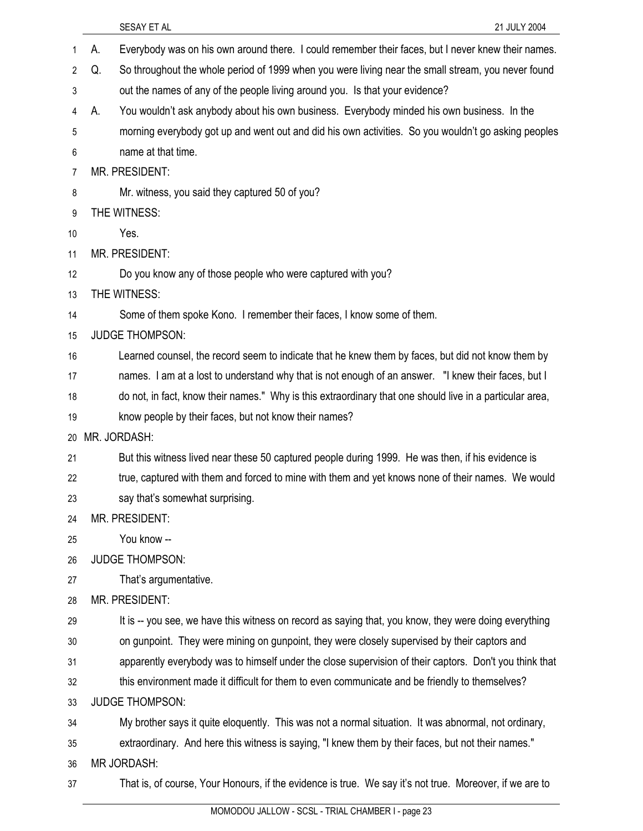|                |    | SESAY ET AL<br>21 JULY 2004                                                                              |
|----------------|----|----------------------------------------------------------------------------------------------------------|
| 1              | А. | Everybody was on his own around there. I could remember their faces, but I never knew their names.       |
| $\overline{2}$ | Q. | So throughout the whole period of 1999 when you were living near the small stream, you never found       |
| 3              |    | out the names of any of the people living around you. Is that your evidence?                             |
| 4              | А. | You wouldn't ask anybody about his own business. Everybody minded his own business. In the               |
| 5              |    | morning everybody got up and went out and did his own activities. So you wouldn't go asking peoples      |
| 6              |    | name at that time.                                                                                       |
| 7              |    | MR. PRESIDENT:                                                                                           |
| 8              |    | Mr. witness, you said they captured 50 of you?                                                           |
| 9              |    | THE WITNESS:                                                                                             |
| 10             |    | Yes.                                                                                                     |
| 11             |    | MR. PRESIDENT:                                                                                           |
| 12             |    | Do you know any of those people who were captured with you?                                              |
| 13             |    | THE WITNESS:                                                                                             |
| 14             |    | Some of them spoke Kono. I remember their faces, I know some of them.                                    |
| 15             |    | <b>JUDGE THOMPSON:</b>                                                                                   |
| 16             |    | Learned counsel, the record seem to indicate that he knew them by faces, but did not know them by        |
| 17             |    | names. I am at a lost to understand why that is not enough of an answer. "I knew their faces, but I      |
| 18             |    | do not, in fact, know their names." Why is this extraordinary that one should live in a particular area, |
| 19             |    | know people by their faces, but not know their names?                                                    |
| 20             |    | MR. JORDASH:                                                                                             |
| 21             |    | But this witness lived near these 50 captured people during 1999. He was then, if his evidence is        |
| 22             |    | true, captured with them and forced to mine with them and yet knows none of their names. We would        |
| 23             |    | say that's somewhat surprising.                                                                          |
| 24             |    | MR. PRESIDENT:                                                                                           |
| 25             |    | You know --                                                                                              |
| 26             |    | <b>JUDGE THOMPSON:</b>                                                                                   |
| 27             |    | That's argumentative.                                                                                    |
| 28             |    | MR. PRESIDENT:                                                                                           |
| 29             |    | It is -- you see, we have this witness on record as saying that, you know, they were doing everything    |
| 30             |    | on gunpoint. They were mining on gunpoint, they were closely supervised by their captors and             |
| 31             |    | apparently everybody was to himself under the close supervision of their captors. Don't you think that   |
| 32             |    | this environment made it difficult for them to even communicate and be friendly to themselves?           |
| 33             |    | <b>JUDGE THOMPSON:</b>                                                                                   |
| 34             |    | My brother says it quite eloquently. This was not a normal situation. It was abnormal, not ordinary,     |
| 35             |    | extraordinary. And here this witness is saying, "I knew them by their faces, but not their names."       |
| 36             |    | <b>MR JORDASH:</b>                                                                                       |
| 37             |    | That is, of course, Your Honours, if the evidence is true. We say it's not true. Moreover, if we are to  |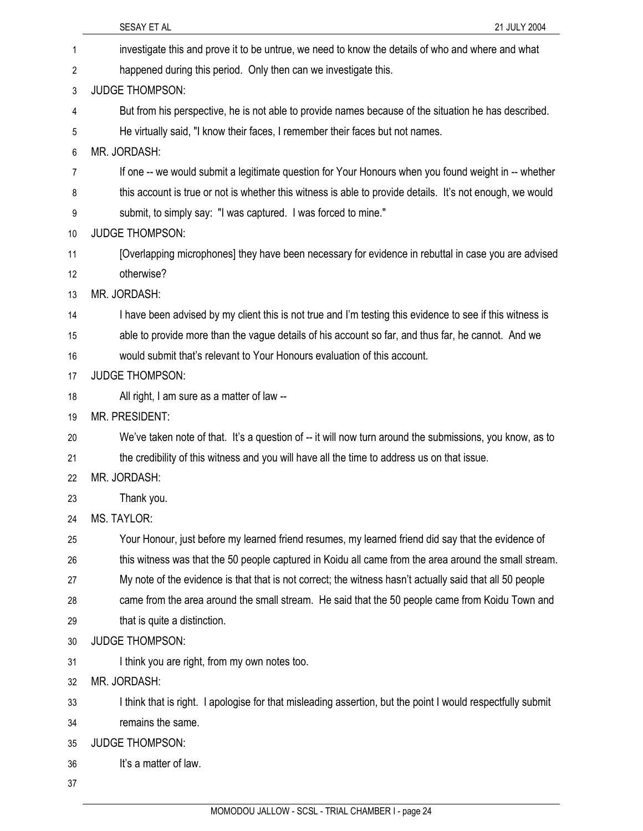|    | 21 JULY 2004<br>SESAY ET AL                                                                                 |
|----|-------------------------------------------------------------------------------------------------------------|
| 1  | investigate this and prove it to be untrue, we need to know the details of who and where and what           |
| 2  | happened during this period. Only then can we investigate this.                                             |
| 3  | <b>JUDGE THOMPSON:</b>                                                                                      |
| 4  | But from his perspective, he is not able to provide names because of the situation he has described.        |
| 5  | He virtually said, "I know their faces, I remember their faces but not names.                               |
| 6  | MR. JORDASH:                                                                                                |
| 7  | If one -- we would submit a legitimate question for Your Honours when you found weight in -- whether        |
| 8  | this account is true or not is whether this witness is able to provide details. It's not enough, we would   |
| 9  | submit, to simply say: "I was captured. I was forced to mine."                                              |
| 10 | <b>JUDGE THOMPSON:</b>                                                                                      |
| 11 | [Overlapping microphones] they have been necessary for evidence in rebuttal in case you are advised         |
| 12 | otherwise?                                                                                                  |
| 13 | MR. JORDASH:                                                                                                |
| 14 | I have been advised by my client this is not true and I'm testing this evidence to see if this witness is   |
| 15 | able to provide more than the vague details of his account so far, and thus far, he cannot. And we          |
| 16 | would submit that's relevant to Your Honours evaluation of this account.                                    |
| 17 | <b>JUDGE THOMPSON:</b>                                                                                      |
| 18 | All right, I am sure as a matter of law --                                                                  |
| 19 | MR. PRESIDENT:                                                                                              |
| 20 | We've taken note of that. It's a question of -- it will now turn around the submissions, you know, as to    |
| 21 | the credibility of this witness and you will have all the time to address us on that issue.                 |
| 22 | MR. JORDASH:                                                                                                |
| 23 | Thank you.                                                                                                  |
| 24 | <b>MS. TAYLOR:</b>                                                                                          |
| 25 | Your Honour, just before my learned friend resumes, my learned friend did say that the evidence of          |
| 26 | this witness was that the 50 people captured in Koidu all came from the area around the small stream.       |
| 27 | My note of the evidence is that that is not correct; the witness hasn't actually said that all 50 people    |
| 28 | came from the area around the small stream. He said that the 50 people came from Koidu Town and             |
| 29 | that is quite a distinction.                                                                                |
| 30 | <b>JUDGE THOMPSON:</b>                                                                                      |
| 31 | I think you are right, from my own notes too.                                                               |
| 32 | MR. JORDASH:                                                                                                |
| 33 | I think that is right. I apologise for that misleading assertion, but the point I would respectfully submit |
| 34 | remains the same.                                                                                           |
| 35 | <b>JUDGE THOMPSON:</b>                                                                                      |
| 36 | It's a matter of law.                                                                                       |
| 37 |                                                                                                             |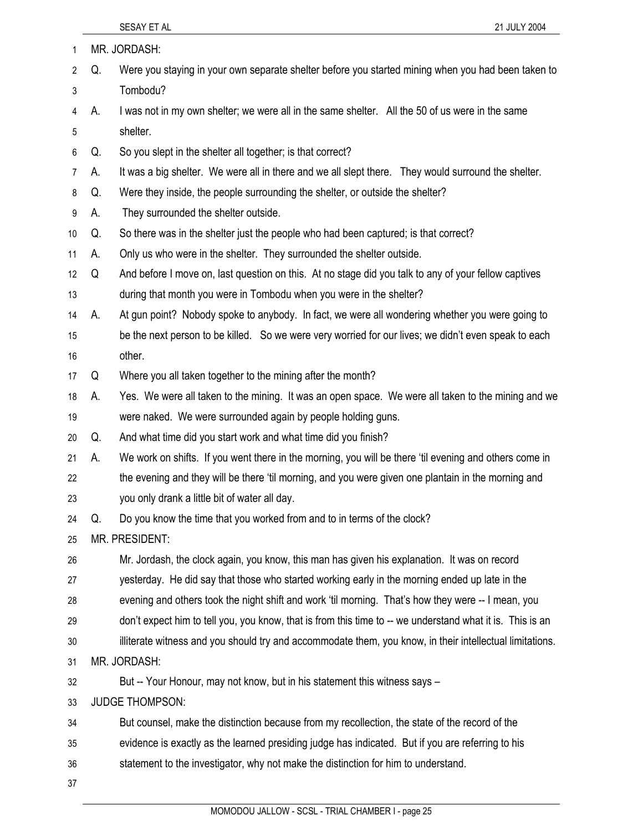| 1              |    | MR. JORDASH:                                                                                              |
|----------------|----|-----------------------------------------------------------------------------------------------------------|
| $\overline{2}$ | Q. | Were you staying in your own separate shelter before you started mining when you had been taken to        |
| 3              |    | Tombodu?                                                                                                  |
| 4              | А. | I was not in my own shelter; we were all in the same shelter. All the 50 of us were in the same           |
| 5              |    | shelter.                                                                                                  |
| 6              | Q. | So you slept in the shelter all together; is that correct?                                                |
| $\overline{7}$ | А. | It was a big shelter. We were all in there and we all slept there. They would surround the shelter.       |
| 8              | Q. | Were they inside, the people surrounding the shelter, or outside the shelter?                             |
| 9              | А. | They surrounded the shelter outside.                                                                      |
| 10             | Q. | So there was in the shelter just the people who had been captured; is that correct?                       |
| 11             | А. | Only us who were in the shelter. They surrounded the shelter outside.                                     |
| 12             | Q  | And before I move on, last question on this. At no stage did you talk to any of your fellow captives      |
| 13             |    | during that month you were in Tombodu when you were in the shelter?                                       |
| 14             | А. | At gun point? Nobody spoke to anybody. In fact, we were all wondering whether you were going to           |
| 15             |    | be the next person to be killed. So we were very worried for our lives; we didn't even speak to each      |
| 16             |    | other.                                                                                                    |
| 17             | Q  | Where you all taken together to the mining after the month?                                               |
| 18             | А. | Yes. We were all taken to the mining. It was an open space. We were all taken to the mining and we        |
| 19             |    | were naked. We were surrounded again by people holding guns.                                              |
| 20             | Q. | And what time did you start work and what time did you finish?                                            |
| 21             | А. | We work on shifts. If you went there in the morning, you will be there 'til evening and others come in    |
| 22             |    | the evening and they will be there 'til morning, and you were given one plantain in the morning and       |
| 23             |    | you only drank a little bit of water all day.                                                             |
| 24             | Q. | Do you know the time that you worked from and to in terms of the clock?                                   |
| 25             |    | MR. PRESIDENT:                                                                                            |
| 26             |    | Mr. Jordash, the clock again, you know, this man has given his explanation. It was on record              |
| 27             |    | yesterday. He did say that those who started working early in the morning ended up late in the            |
| 28             |    | evening and others took the night shift and work 'til morning. That's how they were -- I mean, you        |
| 29             |    | don't expect him to tell you, you know, that is from this time to -- we understand what it is. This is an |
| 30             |    | illiterate witness and you should try and accommodate them, you know, in their intellectual limitations.  |
| 31             |    | MR. JORDASH:                                                                                              |
| 32             |    | But -- Your Honour, may not know, but in his statement this witness says -                                |
| 33             |    | <b>JUDGE THOMPSON:</b>                                                                                    |
| 34             |    | But counsel, make the distinction because from my recollection, the state of the record of the            |
| 35             |    | evidence is exactly as the learned presiding judge has indicated. But if you are referring to his         |
| 36             |    | statement to the investigator, why not make the distinction for him to understand.                        |
| 37             |    |                                                                                                           |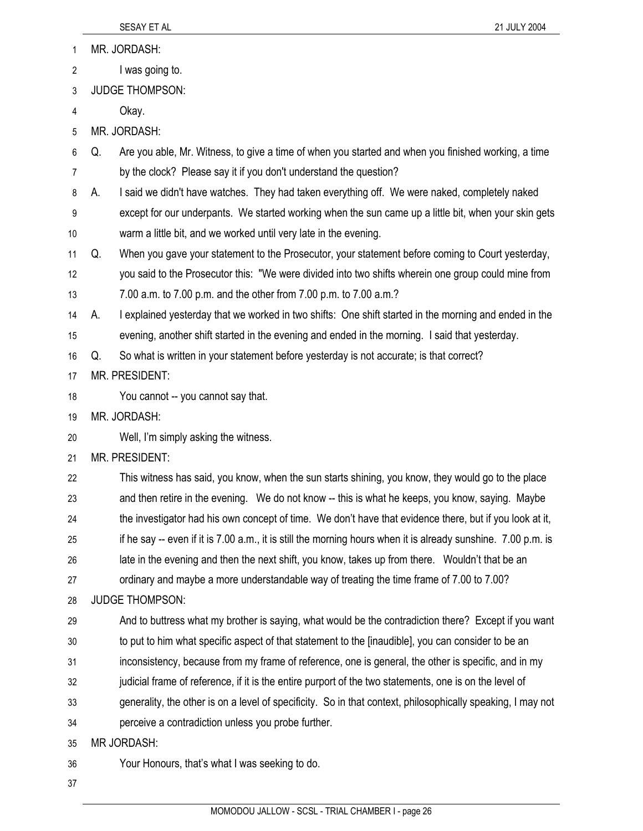| 1                | MR. JORDASH:                                                                                                  |  |
|------------------|---------------------------------------------------------------------------------------------------------------|--|
| 2                | I was going to.                                                                                               |  |
| 3                | <b>JUDGE THOMPSON:</b>                                                                                        |  |
| 4                | Okay.                                                                                                         |  |
| 5                | MR. JORDASH:                                                                                                  |  |
| 6                | Are you able, Mr. Witness, to give a time of when you started and when you finished working, a time<br>Q.     |  |
| 7                | by the clock? Please say it if you don't understand the question?                                             |  |
| 8                | I said we didn't have watches. They had taken everything off. We were naked, completely naked<br>А.           |  |
| $\boldsymbol{9}$ | except for our underpants. We started working when the sun came up a little bit, when your skin gets          |  |
| 10               | warm a little bit, and we worked until very late in the evening.                                              |  |
| 11               | When you gave your statement to the Prosecutor, your statement before coming to Court yesterday,<br>Q.        |  |
| 12               | you said to the Prosecutor this: "We were divided into two shifts wherein one group could mine from           |  |
| 13               | 7.00 a.m. to 7.00 p.m. and the other from 7.00 p.m. to 7.00 a.m.?                                             |  |
| 14               | I explained yesterday that we worked in two shifts: One shift started in the morning and ended in the<br>А.   |  |
| 15               | evening, another shift started in the evening and ended in the morning. I said that yesterday.                |  |
| 16               | So what is written in your statement before yesterday is not accurate; is that correct?<br>Q.                 |  |
| 17               | MR. PRESIDENT:                                                                                                |  |
| 18               | You cannot -- you cannot say that.                                                                            |  |
| 19               | MR. JORDASH:                                                                                                  |  |
| 20               | Well, I'm simply asking the witness.                                                                          |  |
| 21               | MR. PRESIDENT:                                                                                                |  |
| 22               | This witness has said, you know, when the sun starts shining, you know, they would go to the place            |  |
| 23               | and then retire in the evening. We do not know -- this is what he keeps, you know, saying. Maybe              |  |
| 24               | the investigator had his own concept of time. We don't have that evidence there, but if you look at it,       |  |
| 25               | if he say -- even if it is 7.00 a.m., it is still the morning hours when it is already sunshine. 7.00 p.m. is |  |
| 26               | late in the evening and then the next shift, you know, takes up from there. Wouldn't that be an               |  |
| 27               | ordinary and maybe a more understandable way of treating the time frame of 7.00 to 7.00?                      |  |
| 28               | <b>JUDGE THOMPSON:</b>                                                                                        |  |
| 29               | And to buttress what my brother is saying, what would be the contradiction there? Except if you want          |  |
| 30               | to put to him what specific aspect of that statement to the [inaudible], you can consider to be an            |  |
| 31               | inconsistency, because from my frame of reference, one is general, the other is specific, and in my           |  |
| 32               | judicial frame of reference, if it is the entire purport of the two statements, one is on the level of        |  |
| 33               | generality, the other is on a level of specificity. So in that context, philosophically speaking, I may not   |  |
| 34               | perceive a contradiction unless you probe further.                                                            |  |
| 35               | MR JORDASH:                                                                                                   |  |
| 36               | Your Honours, that's what I was seeking to do.                                                                |  |
| 37               |                                                                                                               |  |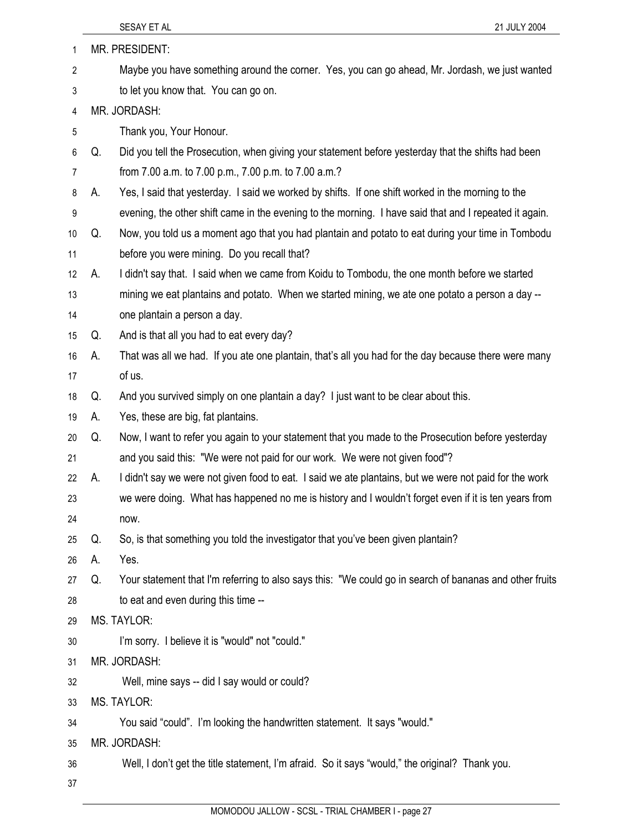| 1  |    | MR. PRESIDENT:                                                                                          |
|----|----|---------------------------------------------------------------------------------------------------------|
| 2  |    | Maybe you have something around the corner. Yes, you can go ahead, Mr. Jordash, we just wanted          |
| 3  |    | to let you know that. You can go on.                                                                    |
| 4  |    | MR. JORDASH:                                                                                            |
| 5  |    | Thank you, Your Honour.                                                                                 |
| 6  | Q. | Did you tell the Prosecution, when giving your statement before yesterday that the shifts had been      |
| 7  |    | from 7.00 a.m. to 7.00 p.m., 7.00 p.m. to 7.00 a.m.?                                                    |
| 8  | А. | Yes, I said that yesterday. I said we worked by shifts. If one shift worked in the morning to the       |
| 9  |    | evening, the other shift came in the evening to the morning. I have said that and I repeated it again.  |
| 10 | Q. | Now, you told us a moment ago that you had plantain and potato to eat during your time in Tombodu       |
| 11 |    | before you were mining. Do you recall that?                                                             |
| 12 | А. | I didn't say that. I said when we came from Koidu to Tombodu, the one month before we started           |
| 13 |    | mining we eat plantains and potato. When we started mining, we ate one potato a person a day --         |
| 14 |    | one plantain a person a day.                                                                            |
| 15 | Q. | And is that all you had to eat every day?                                                               |
| 16 | А. | That was all we had. If you ate one plantain, that's all you had for the day because there were many    |
| 17 |    | of us.                                                                                                  |
| 18 | Q. | And you survived simply on one plantain a day? I just want to be clear about this.                      |
| 19 | А. | Yes, these are big, fat plantains.                                                                      |
| 20 | Q. | Now, I want to refer you again to your statement that you made to the Prosecution before yesterday      |
| 21 |    | and you said this: "We were not paid for our work. We were not given food"?                             |
| 22 | А. | I didn't say we were not given food to eat. I said we ate plantains, but we were not paid for the work  |
| 23 |    | we were doing. What has happened no me is history and I wouldn't forget even if it is ten years from    |
| 24 |    | now.                                                                                                    |
| 25 | Q. | So, is that something you told the investigator that you've been given plantain?                        |
| 26 | А. | Yes.                                                                                                    |
| 27 | Q. | Your statement that I'm referring to also says this: "We could go in search of bananas and other fruits |
| 28 |    | to eat and even during this time --                                                                     |
| 29 |    | MS. TAYLOR:                                                                                             |
| 30 |    | I'm sorry. I believe it is "would" not "could."                                                         |
| 31 |    | MR. JORDASH:                                                                                            |
| 32 |    | Well, mine says -- did I say would or could?                                                            |
| 33 |    | <b>MS. TAYLOR:</b>                                                                                      |
| 34 |    | You said "could". I'm looking the handwritten statement. It says "would."                               |
| 35 |    | MR. JORDASH:                                                                                            |
| 36 |    | Well, I don't get the title statement, I'm afraid. So it says "would," the original? Thank you.         |
| 37 |    |                                                                                                         |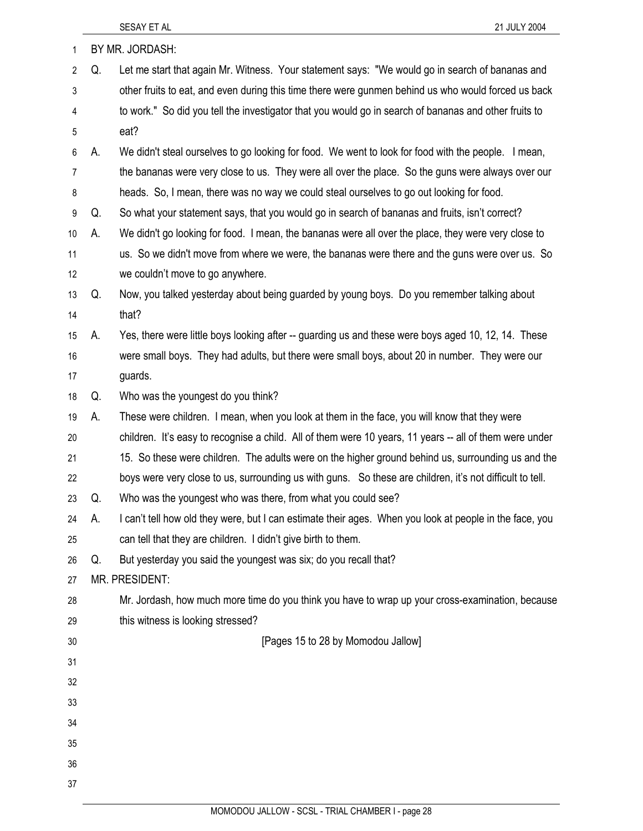| 1              |    | BY MR. JORDASH:                                                                                          |
|----------------|----|----------------------------------------------------------------------------------------------------------|
| $\overline{2}$ | Q. | Let me start that again Mr. Witness. Your statement says: "We would go in search of bananas and          |
| 3              |    | other fruits to eat, and even during this time there were gunmen behind us who would forced us back      |
| 4              |    | to work." So did you tell the investigator that you would go in search of bananas and other fruits to    |
| 5              |    | eat?                                                                                                     |
| 6              | А. | We didn't steal ourselves to go looking for food. We went to look for food with the people. I mean,      |
| 7              |    | the bananas were very close to us. They were all over the place. So the guns were always over our        |
| 8              |    | heads. So, I mean, there was no way we could steal ourselves to go out looking for food.                 |
| 9              | Q. | So what your statement says, that you would go in search of bananas and fruits, isn't correct?           |
| 10             | А. | We didn't go looking for food. I mean, the bananas were all over the place, they were very close to      |
| 11             |    | us. So we didn't move from where we were, the bananas were there and the guns were over us. So           |
| 12             |    | we couldn't move to go anywhere.                                                                         |
| 13             | Q. | Now, you talked yesterday about being guarded by young boys. Do you remember talking about               |
| 14             |    | that?                                                                                                    |
| 15             | А. | Yes, there were little boys looking after -- guarding us and these were boys aged 10, 12, 14. These      |
| 16             |    | were small boys. They had adults, but there were small boys, about 20 in number. They were our           |
| 17             |    | guards.                                                                                                  |
| 18             | Q. | Who was the youngest do you think?                                                                       |
| 19             | А. | These were children. I mean, when you look at them in the face, you will know that they were             |
| 20             |    | children. It's easy to recognise a child. All of them were 10 years, 11 years -- all of them were under  |
| 21             |    | 15. So these were children. The adults were on the higher ground behind us, surrounding us and the       |
| 22             |    | boys were very close to us, surrounding us with guns. So these are children, it's not difficult to tell. |
| 23             | Q. | Who was the youngest who was there, from what you could see?                                             |
| 24             | А. | I can't tell how old they were, but I can estimate their ages. When you look at people in the face, you  |
| 25             |    | can tell that they are children. I didn't give birth to them.                                            |
| 26             | Q. | But yesterday you said the youngest was six; do you recall that?                                         |
| 27             |    | MR. PRESIDENT:                                                                                           |
| 28             |    | Mr. Jordash, how much more time do you think you have to wrap up your cross-examination, because         |
| 29             |    | this witness is looking stressed?                                                                        |
| 30             |    | [Pages 15 to 28 by Momodou Jallow]                                                                       |
| 31             |    |                                                                                                          |
| 32             |    |                                                                                                          |
| 33             |    |                                                                                                          |
| 34             |    |                                                                                                          |
| 35             |    |                                                                                                          |
| 36             |    |                                                                                                          |
| 37             |    |                                                                                                          |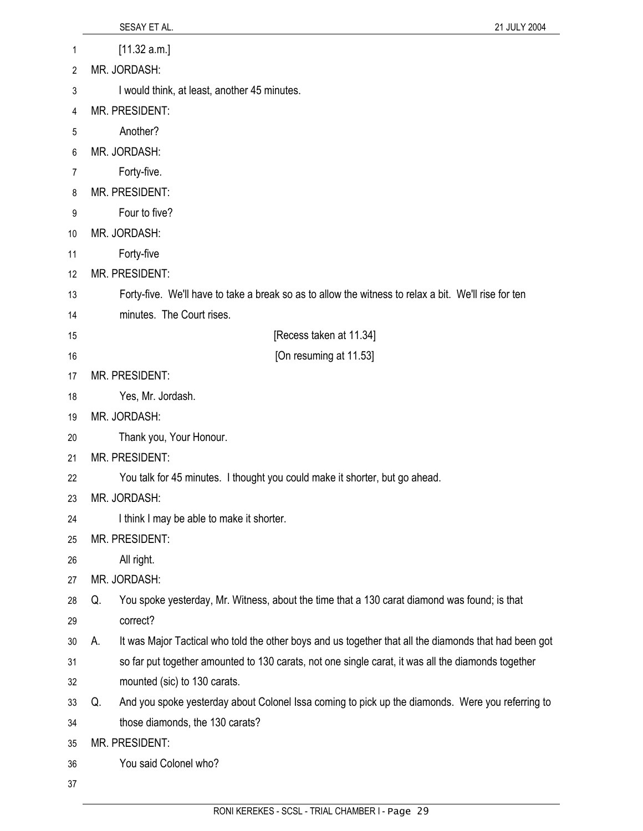|          | SESAY ET AL.<br>21 JULY 2004                                                                                |
|----------|-------------------------------------------------------------------------------------------------------------|
| 1        | [11.32 a.m.]                                                                                                |
| 2        | MR. JORDASH:                                                                                                |
| 3        | I would think, at least, another 45 minutes.                                                                |
| 4        | MR. PRESIDENT:                                                                                              |
| 5        | Another?                                                                                                    |
| 6        | MR. JORDASH:                                                                                                |
| 7        | Forty-five.                                                                                                 |
| 8        | MR. PRESIDENT:                                                                                              |
| 9        | Four to five?                                                                                               |
| 10       | MR. JORDASH:                                                                                                |
| 11       | Forty-five                                                                                                  |
| 12       | MR. PRESIDENT:                                                                                              |
| 13       | Forty-five. We'll have to take a break so as to allow the witness to relax a bit. We'll rise for ten        |
| 14       | minutes. The Court rises.                                                                                   |
| 15       | [Recess taken at 11.34]                                                                                     |
| 16       | [On resuming at 11.53]                                                                                      |
| 17       | <b>MR. PRESIDENT:</b>                                                                                       |
| 18       | Yes, Mr. Jordash.                                                                                           |
| 19       | MR. JORDASH:                                                                                                |
| 20       | Thank you, Your Honour.                                                                                     |
| 21       | MR. PRESIDENT:                                                                                              |
| 22       | You talk for 45 minutes. I thought you could make it shorter, but go ahead.                                 |
| 23       | MR. JORDASH:                                                                                                |
| 24       | I think I may be able to make it shorter.                                                                   |
| 25       | MR. PRESIDENT:                                                                                              |
| 26       | All right.                                                                                                  |
| 27       | MR. JORDASH:                                                                                                |
| 28       | You spoke yesterday, Mr. Witness, about the time that a 130 carat diamond was found; is that<br>Q.          |
| 29       | correct?                                                                                                    |
| 30       | It was Major Tactical who told the other boys and us together that all the diamonds that had been got<br>А. |
| 31       | so far put together amounted to 130 carats, not one single carat, it was all the diamonds together          |
| 32       | mounted (sic) to 130 carats.                                                                                |
| 33       | And you spoke yesterday about Colonel Issa coming to pick up the diamonds. Were you referring to<br>Q.      |
| 34<br>35 | those diamonds, the 130 carats?<br>MR. PRESIDENT:                                                           |
| 36       | You said Colonel who?                                                                                       |
|          |                                                                                                             |
| 37       |                                                                                                             |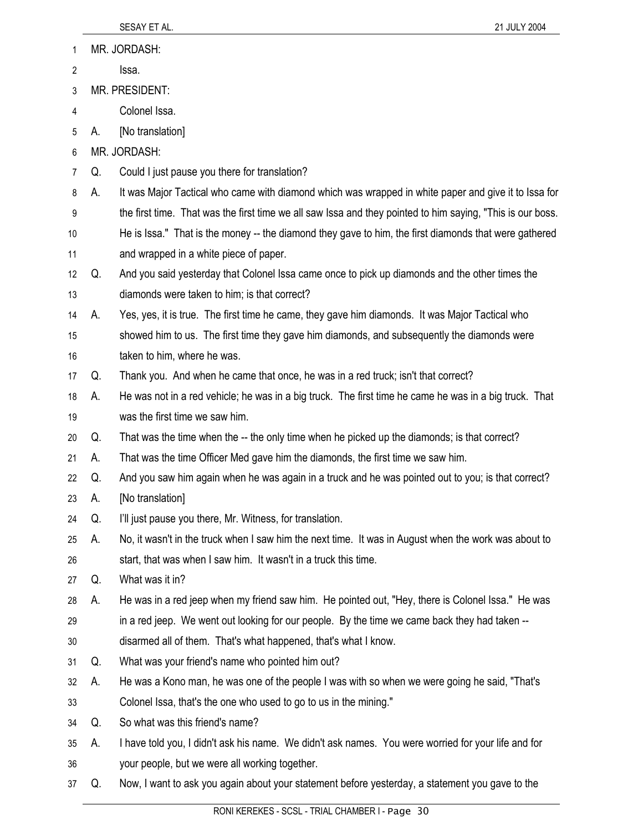| 1  |    | MR. JORDASH:                                                                                               |
|----|----|------------------------------------------------------------------------------------------------------------|
| 2  |    | Issa.                                                                                                      |
| 3  |    | MR. PRESIDENT:                                                                                             |
| 4  |    | Colonel Issa.                                                                                              |
| 5  | А. | [No translation]                                                                                           |
| 6  |    | MR. JORDASH:                                                                                               |
| 7  | Q. | Could I just pause you there for translation?                                                              |
| 8  | А. | It was Major Tactical who came with diamond which was wrapped in white paper and give it to Issa for       |
| 9  |    | the first time. That was the first time we all saw Issa and they pointed to him saying, "This is our boss. |
| 10 |    | He is Issa." That is the money -- the diamond they gave to him, the first diamonds that were gathered      |
| 11 |    | and wrapped in a white piece of paper.                                                                     |
| 12 | Q. | And you said yesterday that Colonel Issa came once to pick up diamonds and the other times the             |
| 13 |    | diamonds were taken to him; is that correct?                                                               |
| 14 | А. | Yes, yes, it is true. The first time he came, they gave him diamonds. It was Major Tactical who            |
| 15 |    | showed him to us. The first time they gave him diamonds, and subsequently the diamonds were                |
| 16 |    | taken to him, where he was.                                                                                |
| 17 | Q. | Thank you. And when he came that once, he was in a red truck; isn't that correct?                          |
| 18 | А. | He was not in a red vehicle; he was in a big truck. The first time he came he was in a big truck. That     |
| 19 |    | was the first time we saw him.                                                                             |
| 20 | Q. | That was the time when the -- the only time when he picked up the diamonds; is that correct?               |
| 21 | А. | That was the time Officer Med gave him the diamonds, the first time we saw him.                            |
| 22 | Q. | And you saw him again when he was again in a truck and he was pointed out to you; is that correct?         |
| 23 | А. | [No translation]                                                                                           |
| 24 | Q. | I'll just pause you there, Mr. Witness, for translation.                                                   |
| 25 | А. | No, it wasn't in the truck when I saw him the next time. It was in August when the work was about to       |
| 26 |    | start, that was when I saw him. It wasn't in a truck this time.                                            |
| 27 | Q. | What was it in?                                                                                            |
| 28 | А. | He was in a red jeep when my friend saw him. He pointed out, "Hey, there is Colonel Issa." He was          |
| 29 |    | in a red jeep. We went out looking for our people. By the time we came back they had taken --              |
| 30 |    | disarmed all of them. That's what happened, that's what I know.                                            |
| 31 | Q. | What was your friend's name who pointed him out?                                                           |
| 32 | А. | He was a Kono man, he was one of the people I was with so when we were going he said, "That's              |
| 33 |    | Colonel Issa, that's the one who used to go to us in the mining."                                          |
| 34 | Q. | So what was this friend's name?                                                                            |
| 35 | А. | I have told you, I didn't ask his name. We didn't ask names. You were worried for your life and for        |
| 36 |    | your people, but we were all working together.                                                             |
| 37 | Q. | Now, I want to ask you again about your statement before yesterday, a statement you gave to the            |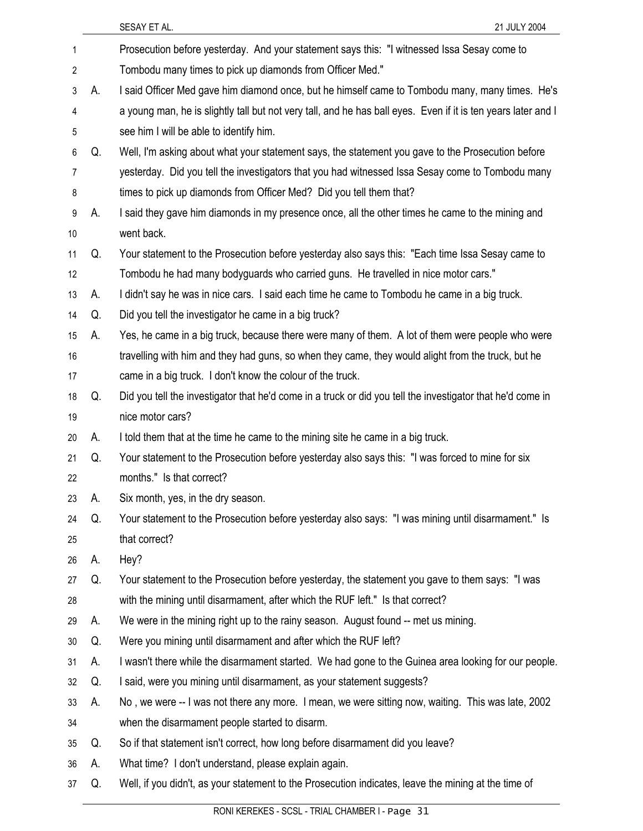|    |    | SESAY ET AL.<br>21 JULY 2004                                                                                  |
|----|----|---------------------------------------------------------------------------------------------------------------|
| 1  |    | Prosecution before yesterday. And your statement says this: "I witnessed Issa Sesay come to                   |
| 2  |    | Tombodu many times to pick up diamonds from Officer Med."                                                     |
| 3  | А. | I said Officer Med gave him diamond once, but he himself came to Tombodu many, many times. He's               |
| 4  |    | a young man, he is slightly tall but not very tall, and he has ball eyes. Even if it is ten years later and I |
| 5  |    | see him I will be able to identify him.                                                                       |
| 6  | Q. | Well, I'm asking about what your statement says, the statement you gave to the Prosecution before             |
| 7  |    | yesterday. Did you tell the investigators that you had witnessed Issa Sesay come to Tombodu many              |
| 8  |    | times to pick up diamonds from Officer Med? Did you tell them that?                                           |
| 9  | А. | I said they gave him diamonds in my presence once, all the other times he came to the mining and              |
| 10 |    | went back.                                                                                                    |
| 11 | Q. | Your statement to the Prosecution before yesterday also says this: "Each time Issa Sesay came to              |
| 12 |    | Tombodu he had many bodyguards who carried guns. He travelled in nice motor cars."                            |
| 13 | А. | I didn't say he was in nice cars. I said each time he came to Tombodu he came in a big truck.                 |
| 14 | Q. | Did you tell the investigator he came in a big truck?                                                         |
| 15 | А. | Yes, he came in a big truck, because there were many of them. A lot of them were people who were              |
| 16 |    | travelling with him and they had guns, so when they came, they would alight from the truck, but he            |
| 17 |    | came in a big truck. I don't know the colour of the truck.                                                    |
| 18 | Q. | Did you tell the investigator that he'd come in a truck or did you tell the investigator that he'd come in    |
| 19 |    | nice motor cars?                                                                                              |
| 20 | А. | I told them that at the time he came to the mining site he came in a big truck.                               |
| 21 | Q. | Your statement to the Prosecution before yesterday also says this: "I was forced to mine for six              |
| 22 |    | months." Is that correct?                                                                                     |
| 23 | А. | Six month, yes, in the dry season.                                                                            |
| 24 | Q. | Your statement to the Prosecution before yesterday also says: "I was mining until disarmament." Is            |
| 25 |    | that correct?                                                                                                 |
| 26 | А. | Hey?                                                                                                          |
| 27 | Q. | Your statement to the Prosecution before yesterday, the statement you gave to them says: "I was               |
| 28 |    | with the mining until disarmament, after which the RUF left." Is that correct?                                |
| 29 | А. | We were in the mining right up to the rainy season. August found -- met us mining.                            |
| 30 | Q. | Were you mining until disarmament and after which the RUF left?                                               |
| 31 | А. | I wasn't there while the disarmament started. We had gone to the Guinea area looking for our people.          |
| 32 | Q. | I said, were you mining until disarmament, as your statement suggests?                                        |
| 33 | А. | No, we were -- I was not there any more. I mean, we were sitting now, waiting. This was late, 2002            |
| 34 |    | when the disarmament people started to disarm.                                                                |
| 35 | Q. | So if that statement isn't correct, how long before disarmament did you leave?                                |
| 36 | А. | What time? I don't understand, please explain again.                                                          |
| 37 | Q. | Well, if you didn't, as your statement to the Prosecution indicates, leave the mining at the time of          |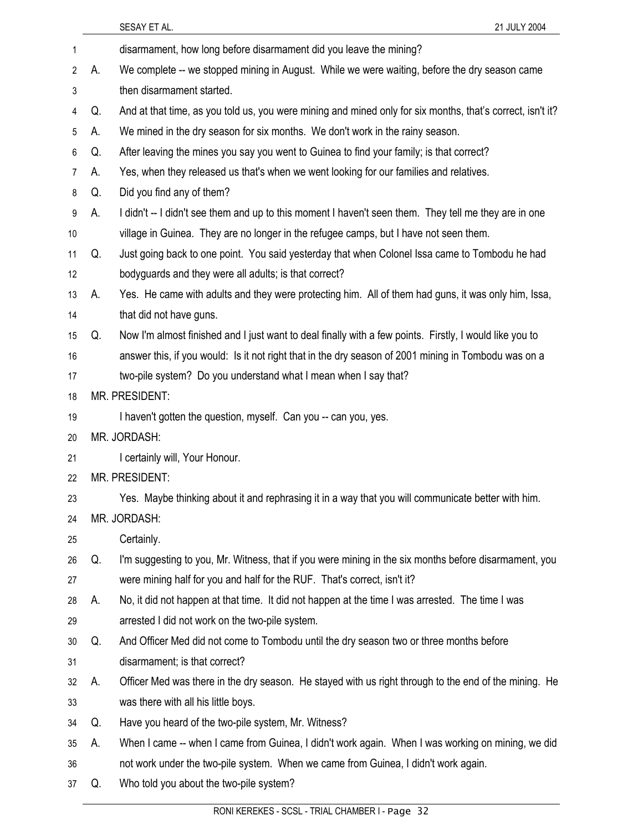|                |    | 21 JULY 2004<br>SESAY ET AL.                                                                               |
|----------------|----|------------------------------------------------------------------------------------------------------------|
| 1              |    | disarmament, how long before disarmament did you leave the mining?                                         |
| 2              | А. | We complete -- we stopped mining in August. While we were waiting, before the dry season came              |
| 3              |    | then disarmament started.                                                                                  |
| 4              | Q. | And at that time, as you told us, you were mining and mined only for six months, that's correct, isn't it? |
| 5              | А. | We mined in the dry season for six months. We don't work in the rainy season.                              |
| 6              | Q. | After leaving the mines you say you went to Guinea to find your family; is that correct?                   |
| $\overline{7}$ | А. | Yes, when they released us that's when we went looking for our families and relatives.                     |
| 8              | Q. | Did you find any of them?                                                                                  |
| 9              | А. | I didn't -- I didn't see them and up to this moment I haven't seen them. They tell me they are in one      |
| 10             |    | village in Guinea. They are no longer in the refugee camps, but I have not seen them.                      |
| 11             | Q. | Just going back to one point. You said yesterday that when Colonel Issa came to Tombodu he had             |
| 12             |    | bodyguards and they were all adults; is that correct?                                                      |
| 13             | А. | Yes. He came with adults and they were protecting him. All of them had guns, it was only him, Issa,        |
| 14             |    | that did not have guns.                                                                                    |
| 15             | Q. | Now I'm almost finished and I just want to deal finally with a few points. Firstly, I would like you to    |
| 16             |    | answer this, if you would: Is it not right that in the dry season of 2001 mining in Tombodu was on a       |
| 17             |    | two-pile system? Do you understand what I mean when I say that?                                            |
| 18             |    | MR. PRESIDENT:                                                                                             |
| 19             |    | I haven't gotten the question, myself. Can you -- can you, yes.                                            |
| 20             |    | MR. JORDASH:                                                                                               |
| 21             |    | I certainly will, Your Honour.                                                                             |
| 22             |    | MR. PRESIDENT:                                                                                             |
| 23             |    | Yes. Maybe thinking about it and rephrasing it in a way that you will communicate better with him.         |
| 24             |    | MR. JORDASH:                                                                                               |
| 25             |    | Certainly.                                                                                                 |
| 26             | Q. | I'm suggesting to you, Mr. Witness, that if you were mining in the six months before disarmament, you      |
| 27             |    | were mining half for you and half for the RUF. That's correct, isn't it?                                   |
| 28             | А. | No, it did not happen at that time. It did not happen at the time I was arrested. The time I was           |
| 29             |    | arrested I did not work on the two-pile system.                                                            |
| 30             | Q. | And Officer Med did not come to Tombodu until the dry season two or three months before                    |
| 31             |    | disarmament; is that correct?                                                                              |
| 32             | А. | Officer Med was there in the dry season. He stayed with us right through to the end of the mining. He      |
| 33             |    | was there with all his little boys.                                                                        |
| 34             | Q. | Have you heard of the two-pile system, Mr. Witness?                                                        |
| 35             | А. | When I came -- when I came from Guinea, I didn't work again. When I was working on mining, we did          |
| 36             |    | not work under the two-pile system. When we came from Guinea, I didn't work again.                         |
| 37             | Q. | Who told you about the two-pile system?                                                                    |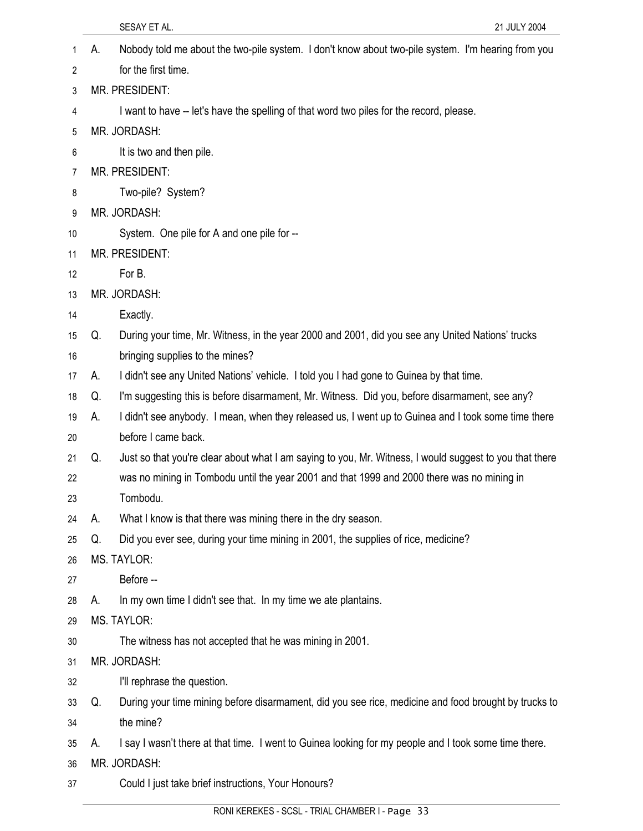|    | SESAY ET AL.<br>21 JULY 2004                                                                                  |
|----|---------------------------------------------------------------------------------------------------------------|
| 1  | Nobody told me about the two-pile system. I don't know about two-pile system. I'm hearing from you<br>А.      |
| 2  | for the first time.                                                                                           |
| 3  | MR. PRESIDENT:                                                                                                |
| 4  | I want to have -- let's have the spelling of that word two piles for the record, please.                      |
| 5  | MR. JORDASH:                                                                                                  |
| 6  | It is two and then pile.                                                                                      |
| 7  | MR. PRESIDENT:                                                                                                |
| 8  | Two-pile? System?                                                                                             |
| 9  | MR. JORDASH:                                                                                                  |
| 10 | System. One pile for A and one pile for --                                                                    |
| 11 | MR. PRESIDENT:                                                                                                |
| 12 | For B.                                                                                                        |
| 13 | MR. JORDASH:                                                                                                  |
| 14 | Exactly.                                                                                                      |
| 15 | During your time, Mr. Witness, in the year 2000 and 2001, did you see any United Nations' trucks<br>Q.        |
| 16 | bringing supplies to the mines?                                                                               |
| 17 | I didn't see any United Nations' vehicle. I told you I had gone to Guinea by that time.<br>А.                 |
| 18 | I'm suggesting this is before disarmament, Mr. Witness. Did you, before disarmament, see any?<br>Q.           |
| 19 | I didn't see anybody. I mean, when they released us, I went up to Guinea and I took some time there<br>А.     |
| 20 | before I came back.                                                                                           |
| 21 | Just so that you're clear about what I am saying to you, Mr. Witness, I would suggest to you that there<br>Q. |
| 22 | was no mining in Tombodu until the year 2001 and that 1999 and 2000 there was no mining in                    |
| 23 | Tombodu.                                                                                                      |
| 24 | What I know is that there was mining there in the dry season.<br>А.                                           |
| 25 | Did you ever see, during your time mining in 2001, the supplies of rice, medicine?<br>Q.                      |
| 26 | MS. TAYLOR:                                                                                                   |
| 27 | Before --                                                                                                     |
| 28 | In my own time I didn't see that. In my time we ate plantains.<br>А.                                          |
| 29 | MS. TAYLOR:                                                                                                   |
| 30 | The witness has not accepted that he was mining in 2001.                                                      |
| 31 | MR. JORDASH:                                                                                                  |
| 32 | I'll rephrase the question.                                                                                   |
| 33 | During your time mining before disarmament, did you see rice, medicine and food brought by trucks to<br>Q.    |
| 34 | the mine?                                                                                                     |
| 35 | I say I wasn't there at that time. I went to Guinea looking for my people and I took some time there.<br>А.   |
| 36 | MR. JORDASH:                                                                                                  |
| 37 | Could I just take brief instructions, Your Honours?                                                           |
|    |                                                                                                               |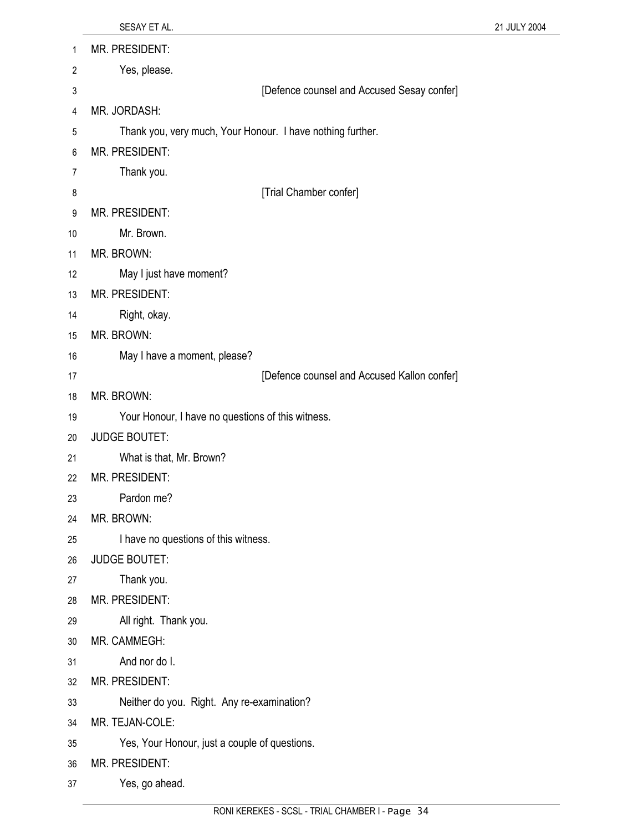| 1              | MR. PRESIDENT:                                             |
|----------------|------------------------------------------------------------|
| $\overline{2}$ | Yes, please.                                               |
| 3              | [Defence counsel and Accused Sesay confer]                 |
| 4              | MR. JORDASH:                                               |
| 5              | Thank you, very much, Your Honour. I have nothing further. |
| 6              | MR. PRESIDENT:                                             |
| 7              | Thank you.                                                 |
| 8              | [Trial Chamber confer]                                     |
| 9              | MR. PRESIDENT:                                             |
| 10             | Mr. Brown.                                                 |
| 11             | MR. BROWN:                                                 |
| 12             | May I just have moment?                                    |
| 13             | MR. PRESIDENT:                                             |
| 14             | Right, okay.                                               |
| 15             | MR. BROWN:                                                 |
| 16             | May I have a moment, please?                               |
| 17             | [Defence counsel and Accused Kallon confer]                |
| 18             | MR. BROWN:                                                 |
| 19             | Your Honour, I have no questions of this witness.          |
| 20             | <b>JUDGE BOUTET:</b>                                       |
| 21             | What is that, Mr. Brown?                                   |
| 22             | MR. PRESIDENT:                                             |
| 23             | Pardon me?                                                 |
| 24             | MR. BROWN:                                                 |
| 25             | I have no questions of this witness.                       |
| 26<br>27       | <b>JUDGE BOUTET:</b><br>Thank you.                         |
| 28             | MR. PRESIDENT:                                             |
| 29             | All right. Thank you.                                      |
| 30             | MR. CAMMEGH:                                               |
| 31             | And nor do I.                                              |
| 32             | MR. PRESIDENT:                                             |
| 33             | Neither do you. Right. Any re-examination?                 |
| 34             | MR. TEJAN-COLE:                                            |
| 35             | Yes, Your Honour, just a couple of questions.              |
| 36             | MR. PRESIDENT:                                             |
| 37             | Yes, go ahead.                                             |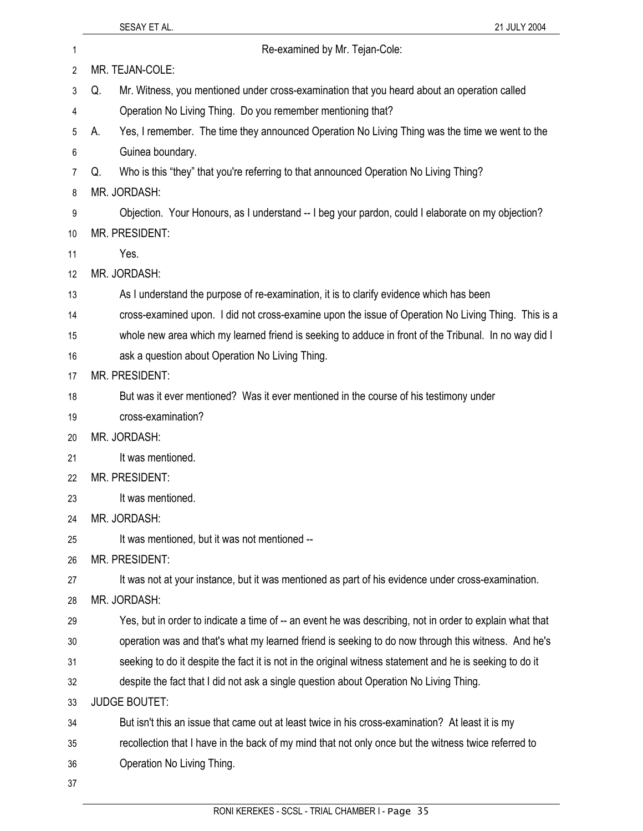| 1  | Re-examined by Mr. Tejan-Cole:                                                                           |
|----|----------------------------------------------------------------------------------------------------------|
| 2  | MR. TEJAN-COLE:                                                                                          |
| 3  | Mr. Witness, you mentioned under cross-examination that you heard about an operation called<br>Q.        |
| 4  | Operation No Living Thing. Do you remember mentioning that?                                              |
| 5  | Yes, I remember. The time they announced Operation No Living Thing was the time we went to the<br>А.     |
| 6  | Guinea boundary.                                                                                         |
| 7  | Who is this "they" that you're referring to that announced Operation No Living Thing?<br>Q.              |
| 8  | MR. JORDASH:                                                                                             |
| 9  | Objection. Your Honours, as I understand -- I beg your pardon, could I elaborate on my objection?        |
| 10 | MR. PRESIDENT:                                                                                           |
| 11 | Yes.                                                                                                     |
| 12 | MR. JORDASH:                                                                                             |
| 13 | As I understand the purpose of re-examination, it is to clarify evidence which has been                  |
| 14 | cross-examined upon. I did not cross-examine upon the issue of Operation No Living Thing. This is a      |
| 15 | whole new area which my learned friend is seeking to adduce in front of the Tribunal. In no way did I    |
| 16 | ask a question about Operation No Living Thing.                                                          |
| 17 | MR. PRESIDENT:                                                                                           |
| 18 | But was it ever mentioned? Was it ever mentioned in the course of his testimony under                    |
| 19 | cross-examination?                                                                                       |
| 20 | MR. JORDASH:                                                                                             |
| 21 | It was mentioned.                                                                                        |
| 22 | <b>MR. PRESIDENT:</b>                                                                                    |
| 23 | It was mentioned.                                                                                        |
| 24 | MR. JORDASH:                                                                                             |
| 25 | It was mentioned, but it was not mentioned --                                                            |
| 26 | MR. PRESIDENT:                                                                                           |
| 27 | It was not at your instance, but it was mentioned as part of his evidence under cross-examination.       |
| 28 | MR. JORDASH:                                                                                             |
| 29 | Yes, but in order to indicate a time of -- an event he was describing, not in order to explain what that |
| 30 | operation was and that's what my learned friend is seeking to do now through this witness. And he's      |
| 31 | seeking to do it despite the fact it is not in the original witness statement and he is seeking to do it |
| 32 | despite the fact that I did not ask a single question about Operation No Living Thing.                   |
| 33 | <b>JUDGE BOUTET:</b>                                                                                     |
| 34 | But isn't this an issue that came out at least twice in his cross-examination? At least it is my         |
| 35 | recollection that I have in the back of my mind that not only once but the witness twice referred to     |
| 36 | Operation No Living Thing.                                                                               |
| 37 |                                                                                                          |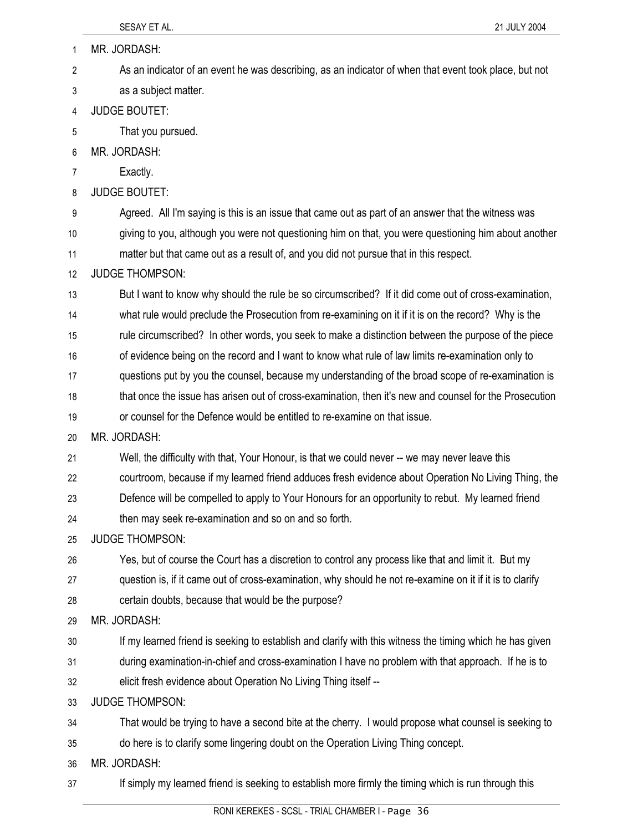| 1  | MR. JORDASH:                                                                                             |
|----|----------------------------------------------------------------------------------------------------------|
| 2  | As an indicator of an event he was describing, as an indicator of when that event took place, but not    |
| 3  | as a subject matter.                                                                                     |
| 4  | <b>JUDGE BOUTET:</b>                                                                                     |
| 5  | That you pursued.                                                                                        |
| 6  | MR. JORDASH:                                                                                             |
| 7  | Exactly.                                                                                                 |
| 8  | <b>JUDGE BOUTET:</b>                                                                                     |
| 9  | Agreed. All I'm saying is this is an issue that came out as part of an answer that the witness was       |
| 10 | giving to you, although you were not questioning him on that, you were questioning him about another     |
| 11 | matter but that came out as a result of, and you did not pursue that in this respect.                    |
| 12 | <b>JUDGE THOMPSON:</b>                                                                                   |
| 13 | But I want to know why should the rule be so circumscribed? If it did come out of cross-examination,     |
| 14 | what rule would preclude the Prosecution from re-examining on it if it is on the record? Why is the      |
| 15 | rule circumscribed? In other words, you seek to make a distinction between the purpose of the piece      |
| 16 | of evidence being on the record and I want to know what rule of law limits re-examination only to        |
| 17 | questions put by you the counsel, because my understanding of the broad scope of re-examination is       |
| 18 | that once the issue has arisen out of cross-examination, then it's new and counsel for the Prosecution   |
| 19 | or counsel for the Defence would be entitled to re-examine on that issue.                                |
| 20 | MR. JORDASH:                                                                                             |
| 21 | Well, the difficulty with that, Your Honour, is that we could never -- we may never leave this           |
| 22 | courtroom, because if my learned friend adduces fresh evidence about Operation No Living Thing, the      |
| 23 | Defence will be compelled to apply to Your Honours for an opportunity to rebut. My learned friend        |
| 24 | then may seek re-examination and so on and so forth.                                                     |
| 25 | <b>JUDGE THOMPSON:</b>                                                                                   |
| 26 | Yes, but of course the Court has a discretion to control any process like that and limit it. But my      |
| 27 | question is, if it came out of cross-examination, why should he not re-examine on it if it is to clarify |
| 28 | certain doubts, because that would be the purpose?                                                       |
| 29 | MR. JORDASH:                                                                                             |
| 30 | If my learned friend is seeking to establish and clarify with this witness the timing which he has given |
| 31 | during examination-in-chief and cross-examination I have no problem with that approach. If he is to      |
| 32 | elicit fresh evidence about Operation No Living Thing itself --                                          |
| 33 | <b>JUDGE THOMPSON:</b>                                                                                   |
| 34 | That would be trying to have a second bite at the cherry. I would propose what counsel is seeking to     |
| 35 | do here is to clarify some lingering doubt on the Operation Living Thing concept.                        |
| 36 | MR. JORDASH:                                                                                             |
| 37 | If simply my learned friend is seeking to establish more firmly the timing which is run through this     |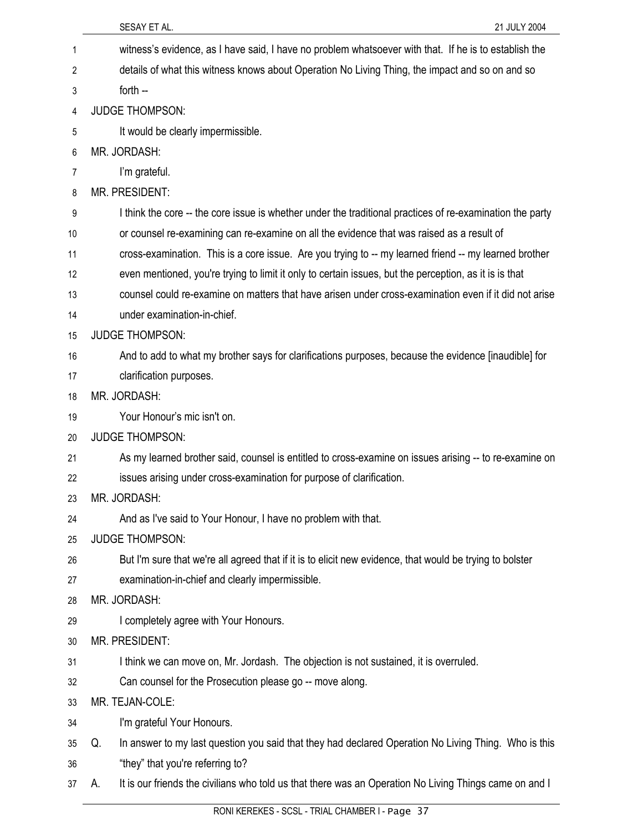|    | SESAY ET AL.<br>21 JULY 2004                                                                                 |
|----|--------------------------------------------------------------------------------------------------------------|
| 1  | witness's evidence, as I have said, I have no problem whatsoever with that. If he is to establish the        |
| 2  | details of what this witness knows about Operation No Living Thing, the impact and so on and so              |
| 3  | forth --                                                                                                     |
| 4  | <b>JUDGE THOMPSON:</b>                                                                                       |
| 5  | It would be clearly impermissible.                                                                           |
| 6  | MR. JORDASH:                                                                                                 |
| 7  | I'm grateful.                                                                                                |
| 8  | MR. PRESIDENT:                                                                                               |
| 9  | I think the core -- the core issue is whether under the traditional practices of re-examination the party    |
| 10 | or counsel re-examining can re-examine on all the evidence that was raised as a result of                    |
| 11 | cross-examination. This is a core issue. Are you trying to -- my learned friend -- my learned brother        |
| 12 | even mentioned, you're trying to limit it only to certain issues, but the perception, as it is is that       |
| 13 | counsel could re-examine on matters that have arisen under cross-examination even if it did not arise        |
| 14 | under examination-in-chief.                                                                                  |
| 15 | <b>JUDGE THOMPSON:</b>                                                                                       |
| 16 | And to add to what my brother says for clarifications purposes, because the evidence [inaudible] for         |
| 17 | clarification purposes.                                                                                      |
| 18 | MR. JORDASH:                                                                                                 |
| 19 | Your Honour's mic isn't on.                                                                                  |
| 20 | <b>JUDGE THOMPSON:</b>                                                                                       |
| 21 | As my learned brother said, counsel is entitled to cross-examine on issues arising -- to re-examine on       |
| 22 | issues arising under cross-examination for purpose of clarification.                                         |
| 23 | MR. JORDASH:                                                                                                 |
| 24 | And as I've said to Your Honour, I have no problem with that.                                                |
| 25 | <b>JUDGE THOMPSON:</b>                                                                                       |
| 26 | But I'm sure that we're all agreed that if it is to elicit new evidence, that would be trying to bolster     |
| 27 | examination-in-chief and clearly impermissible.                                                              |
| 28 | MR. JORDASH:                                                                                                 |
| 29 | I completely agree with Your Honours.                                                                        |
| 30 | MR. PRESIDENT:                                                                                               |
| 31 | I think we can move on, Mr. Jordash. The objection is not sustained, it is overruled.                        |
| 32 | Can counsel for the Prosecution please go -- move along.                                                     |
| 33 | MR. TEJAN-COLE:                                                                                              |
| 34 | I'm grateful Your Honours.                                                                                   |
| 35 | In answer to my last question you said that they had declared Operation No Living Thing. Who is this<br>Q.   |
| 36 | "they" that you're referring to?                                                                             |
| 37 | It is our friends the civilians who told us that there was an Operation No Living Things came on and I<br>А. |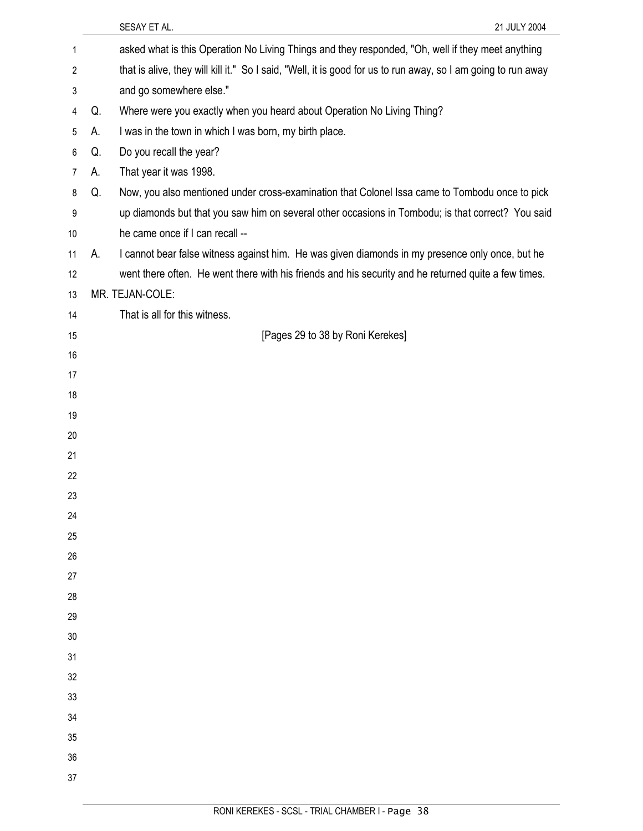|    |    | SESAY ET AL.<br>21 JULY 2004                                                                                  |
|----|----|---------------------------------------------------------------------------------------------------------------|
| 1  |    | asked what is this Operation No Living Things and they responded, "Oh, well if they meet anything             |
| 2  |    | that is alive, they will kill it." So I said, "Well, it is good for us to run away, so I am going to run away |
| 3  |    | and go somewhere else."                                                                                       |
| 4  | Q. | Where were you exactly when you heard about Operation No Living Thing?                                        |
| 5  | А. | I was in the town in which I was born, my birth place.                                                        |
| 6  | Q. | Do you recall the year?                                                                                       |
| 7  | А. | That year it was 1998.                                                                                        |
| 8  | Q. | Now, you also mentioned under cross-examination that Colonel Issa came to Tombodu once to pick                |
| 9  |    | up diamonds but that you saw him on several other occasions in Tombodu; is that correct? You said             |
| 10 |    | he came once if I can recall --                                                                               |
| 11 | А. | I cannot bear false witness against him. He was given diamonds in my presence only once, but he               |
| 12 |    | went there often. He went there with his friends and his security and he returned quite a few times.          |
| 13 |    | MR. TEJAN-COLE:                                                                                               |
| 14 |    | That is all for this witness.                                                                                 |
| 15 |    | [Pages 29 to 38 by Roni Kerekes]                                                                              |
| 16 |    |                                                                                                               |
| 17 |    |                                                                                                               |
| 18 |    |                                                                                                               |
| 19 |    |                                                                                                               |
| 20 |    |                                                                                                               |
| 21 |    |                                                                                                               |
| 22 |    |                                                                                                               |
| 23 |    |                                                                                                               |
| 24 |    |                                                                                                               |
| 25 |    |                                                                                                               |
| 26 |    |                                                                                                               |
| 27 |    |                                                                                                               |
| 28 |    |                                                                                                               |
| 29 |    |                                                                                                               |
| 30 |    |                                                                                                               |
| 31 |    |                                                                                                               |
| 32 |    |                                                                                                               |
| 33 |    |                                                                                                               |
| 34 |    |                                                                                                               |
| 35 |    |                                                                                                               |
| 36 |    |                                                                                                               |
| 37 |    |                                                                                                               |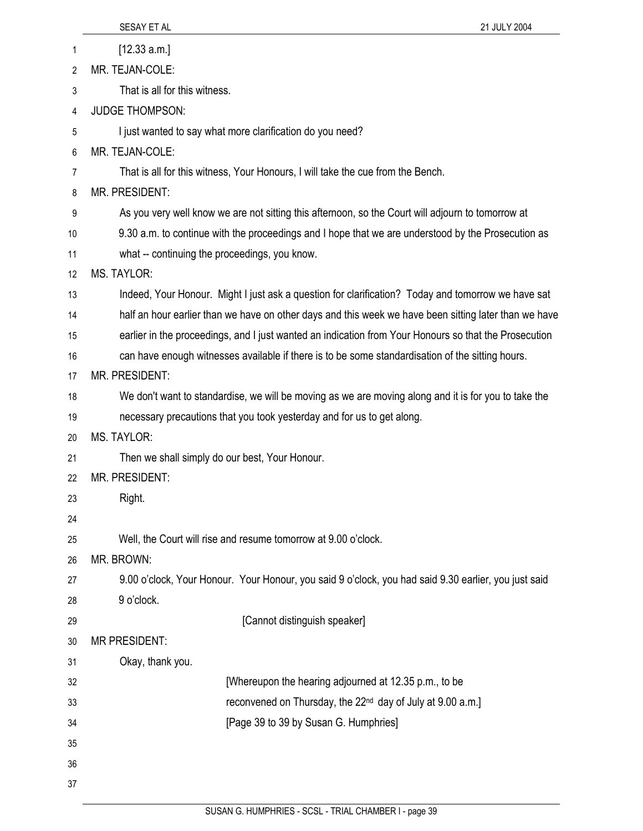|    | SESAY ET AL<br>21 JULY 2004                                                                           |
|----|-------------------------------------------------------------------------------------------------------|
| 1  | [12.33 a.m.]                                                                                          |
| 2  | MR. TEJAN-COLE:                                                                                       |
| 3  | That is all for this witness.                                                                         |
| 4  | <b>JUDGE THOMPSON:</b>                                                                                |
| 5  | I just wanted to say what more clarification do you need?                                             |
| 6  | MR. TEJAN-COLE:                                                                                       |
| 7  | That is all for this witness, Your Honours, I will take the cue from the Bench.                       |
| 8  | MR. PRESIDENT:                                                                                        |
| 9  | As you very well know we are not sitting this afternoon, so the Court will adjourn to tomorrow at     |
| 10 | 9.30 a.m. to continue with the proceedings and I hope that we are understood by the Prosecution as    |
| 11 | what -- continuing the proceedings, you know.                                                         |
| 12 | <b>MS. TAYLOR:</b>                                                                                    |
| 13 | Indeed, Your Honour. Might I just ask a question for clarification? Today and tomorrow we have sat    |
| 14 | half an hour earlier than we have on other days and this week we have been sitting later than we have |
| 15 | earlier in the proceedings, and I just wanted an indication from Your Honours so that the Prosecution |
| 16 | can have enough witnesses available if there is to be some standardisation of the sitting hours.      |
| 17 | MR. PRESIDENT:                                                                                        |
| 18 | We don't want to standardise, we will be moving as we are moving along and it is for you to take the  |
| 19 | necessary precautions that you took yesterday and for us to get along.                                |
| 20 | <b>MS. TAYLOR:</b>                                                                                    |
| 21 | Then we shall simply do our best, Your Honour.                                                        |
| 22 | MR. PRESIDENT:                                                                                        |
| 23 | Right.                                                                                                |
| 24 |                                                                                                       |
| 25 | Well, the Court will rise and resume tomorrow at 9.00 o'clock.                                        |
| 26 | MR. BROWN:                                                                                            |
| 27 | 9.00 o'clock, Your Honour. Your Honour, you said 9 o'clock, you had said 9.30 earlier, you just said  |
| 28 | 9 o'clock.                                                                                            |
| 29 | [Cannot distinguish speaker]                                                                          |
| 30 | <b>MR PRESIDENT:</b>                                                                                  |
| 31 | Okay, thank you.                                                                                      |
| 32 | [Whereupon the hearing adjourned at 12.35 p.m., to be                                                 |
| 33 | reconvened on Thursday, the 22 <sup>nd</sup> day of July at 9.00 a.m.]                                |
| 34 | [Page 39 to 39 by Susan G. Humphries]                                                                 |
| 35 |                                                                                                       |
| 36 |                                                                                                       |
| 37 |                                                                                                       |